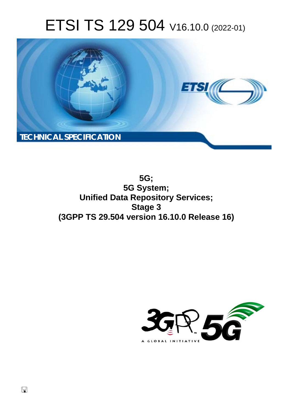# ETSI TS 129 504 V16.10.0 (2022-01)



**5G; 5G System; Unified Data Repository Services; Stage 3 (3GPP TS 29.504 version 16.10.0 Release 16)** 

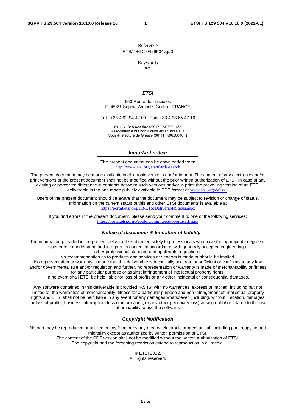Reference RTS/TSGC-0429504vga0

Keywords

 $\overline{5G}$ 

#### *ETSI*

650 Route des Lucioles F-06921 Sophia Antipolis Cedex - FRANCE

Tel.: +33 4 92 94 42 00 Fax: +33 4 93 65 47 16

Siret N° 348 623 562 00017 - APE 7112B Association à but non lucratif enregistrée à la Sous-Préfecture de Grasse (06) N° w061004871

#### *Important notice*

The present document can be downloaded from: <http://www.etsi.org/standards-search>

The present document may be made available in electronic versions and/or in print. The content of any electronic and/or print versions of the present document shall not be modified without the prior written authorization of ETSI. In case of any existing or perceived difference in contents between such versions and/or in print, the prevailing version of an ETSI deliverable is the one made publicly available in PDF format at [www.etsi.org/deliver](http://www.etsi.org/deliver).

Users of the present document should be aware that the document may be subject to revision or change of status. Information on the current status of this and other ETSI documents is available at <https://portal.etsi.org/TB/ETSIDeliverableStatus.aspx>

If you find errors in the present document, please send your comment to one of the following services: <https://portal.etsi.org/People/CommiteeSupportStaff.aspx>

#### *Notice of disclaimer & limitation of liability*

The information provided in the present deliverable is directed solely to professionals who have the appropriate degree of experience to understand and interpret its content in accordance with generally accepted engineering or other professional standard and applicable regulations.

No recommendation as to products and services or vendors is made or should be implied.

No representation or warranty is made that this deliverable is technically accurate or sufficient or conforms to any law and/or governmental rule and/or regulation and further, no representation or warranty is made of merchantability or fitness for any particular purpose or against infringement of intellectual property rights.

In no event shall ETSI be held liable for loss of profits or any other incidental or consequential damages.

Any software contained in this deliverable is provided "AS IS" with no warranties, express or implied, including but not limited to, the warranties of merchantability, fitness for a particular purpose and non-infringement of intellectual property rights and ETSI shall not be held liable in any event for any damages whatsoever (including, without limitation, damages for loss of profits, business interruption, loss of information, or any other pecuniary loss) arising out of or related to the use of or inability to use the software.

### *Copyright Notification*

No part may be reproduced or utilized in any form or by any means, electronic or mechanical, including photocopying and microfilm except as authorized by written permission of ETSI. The content of the PDF version shall not be modified without the written authorization of ETSI.

The copyright and the foregoing restriction extend to reproduction in all media.

© ETSI 2022. All rights reserved.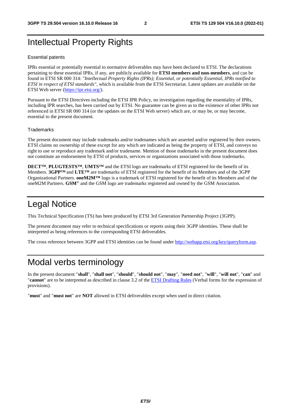## Intellectual Property Rights

#### Essential patents

IPRs essential or potentially essential to normative deliverables may have been declared to ETSI. The declarations pertaining to these essential IPRs, if any, are publicly available for **ETSI members and non-members**, and can be found in ETSI SR 000 314: *"Intellectual Property Rights (IPRs); Essential, or potentially Essential, IPRs notified to ETSI in respect of ETSI standards"*, which is available from the ETSI Secretariat. Latest updates are available on the ETSI Web server [\(https://ipr.etsi.org/](https://ipr.etsi.org/)).

Pursuant to the ETSI Directives including the ETSI IPR Policy, no investigation regarding the essentiality of IPRs, including IPR searches, has been carried out by ETSI. No guarantee can be given as to the existence of other IPRs not referenced in ETSI SR 000 314 (or the updates on the ETSI Web server) which are, or may be, or may become, essential to the present document.

#### **Trademarks**

The present document may include trademarks and/or tradenames which are asserted and/or registered by their owners. ETSI claims no ownership of these except for any which are indicated as being the property of ETSI, and conveys no right to use or reproduce any trademark and/or tradename. Mention of those trademarks in the present document does not constitute an endorsement by ETSI of products, services or organizations associated with those trademarks.

**DECT™**, **PLUGTESTS™**, **UMTS™** and the ETSI logo are trademarks of ETSI registered for the benefit of its Members. **3GPP™** and **LTE™** are trademarks of ETSI registered for the benefit of its Members and of the 3GPP Organizational Partners. **oneM2M™** logo is a trademark of ETSI registered for the benefit of its Members and of the oneM2M Partners. **GSM**® and the GSM logo are trademarks registered and owned by the GSM Association.

## Legal Notice

This Technical Specification (TS) has been produced by ETSI 3rd Generation Partnership Project (3GPP).

The present document may refer to technical specifications or reports using their 3GPP identities. These shall be interpreted as being references to the corresponding ETSI deliverables.

The cross reference between 3GPP and ETSI identities can be found under<http://webapp.etsi.org/key/queryform.asp>.

## Modal verbs terminology

In the present document "**shall**", "**shall not**", "**should**", "**should not**", "**may**", "**need not**", "**will**", "**will not**", "**can**" and "**cannot**" are to be interpreted as described in clause 3.2 of the [ETSI Drafting Rules](https://portal.etsi.org/Services/editHelp!/Howtostart/ETSIDraftingRules.aspx) (Verbal forms for the expression of provisions).

"**must**" and "**must not**" are **NOT** allowed in ETSI deliverables except when used in direct citation.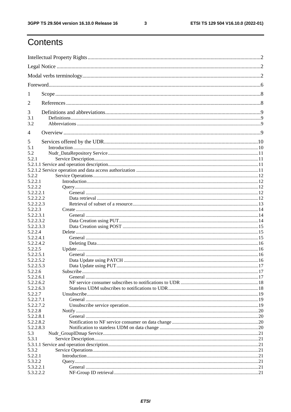$\mathbf{3}$ 

## Contents

| 1                      |           |  |
|------------------------|-----------|--|
| 2                      |           |  |
| 3                      |           |  |
| 3.1                    |           |  |
| 3.2                    |           |  |
| $\overline{4}$         |           |  |
| 5<br>5.1               |           |  |
| 5.2                    |           |  |
| 5.2.1                  |           |  |
|                        |           |  |
|                        |           |  |
| 5.2.2                  |           |  |
| 5.2.2.1                |           |  |
| 5.2.2.2                |           |  |
| 5.2.2.2.1              |           |  |
| 5.2.2.2.2              |           |  |
| 5.2.2.2.3              |           |  |
| 5.2.2.3                |           |  |
| 5.2.2.3.1              |           |  |
| 5.2.2.3.2<br>5.2.2.3.3 |           |  |
| 5.2.2.4                |           |  |
| 5.2.2.4.1              |           |  |
| 5.2.2.4.2              |           |  |
| 5.2.2.5                |           |  |
| 5.2.2.5.1              |           |  |
| 5.2.2.5.2              |           |  |
| 5.2.2.5.3              |           |  |
| 5.2.2.6                | Subscribe |  |
| 5.2.2.6.1              |           |  |
| 5.2.2.6.2              |           |  |
| 5.2.2.6.3              |           |  |
| 5.2.2.7                |           |  |
| 5.2.2.7.1              |           |  |
| 5.2.2.7.2              |           |  |
| 5.2.2.8                |           |  |
| 5.2.2.8.1              |           |  |
| 5.2.2.8.2              |           |  |
| 5.2.2.8.3              |           |  |
| 5.3                    |           |  |
| 5.3.1                  |           |  |
| 5.3.2                  |           |  |
| 5.2.2.1                |           |  |
| 5.3.2.2                |           |  |
| 5.3.2.2.1              |           |  |
| 5.3.2.2.2              |           |  |
|                        |           |  |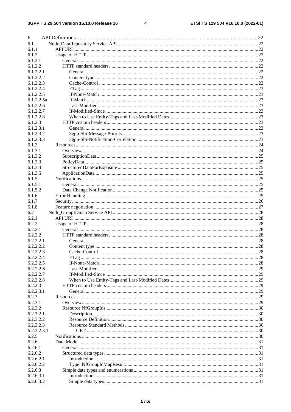$\overline{\mathbf{4}}$ 

| 6                      |  |
|------------------------|--|
| 6.1                    |  |
| 6.1.1                  |  |
| 6.1.2                  |  |
| 6.1.2.1                |  |
| 6.1.2.2                |  |
| 6.1.2.2.1              |  |
| 6.1.2.2.2              |  |
| 6.1.2.2.3              |  |
| 6.1.2.2.4              |  |
| 6.1.2.2.5              |  |
| 6.1.2.2.5a             |  |
| 6.1.2.2.6              |  |
| 6.1.2.2.7              |  |
| 6.1.2.2.8              |  |
| 6.1.2.3                |  |
| 6.1.2.3.1              |  |
| 6.1.2.3.2              |  |
| 6.1.2.3.3              |  |
| 6.1.3                  |  |
| 6.1.3.1                |  |
| 6.1.3.2                |  |
| 6.1.3.3                |  |
| 6.1.3.4                |  |
| 6.1.3.5                |  |
| 6.1.5                  |  |
| 6.1.5.1                |  |
| 6.1.5.2                |  |
| 6.1.6                  |  |
| 6.1.7                  |  |
| 6.1.8                  |  |
| 6.2                    |  |
|                        |  |
|                        |  |
| 6.2.1                  |  |
| 6.2.2                  |  |
| 6.2.2.1                |  |
| 6.2.2.2<br>6.2.2.2.1   |  |
|                        |  |
| 6.2.2.2.2              |  |
| 6.2.2.2.3              |  |
| 6.2.2.2.4<br>6.2.2.2.5 |  |
| 6.2.2.2.6              |  |
|                        |  |
| 6.2.2.2.7              |  |
| 6.2.2.2.8              |  |
| 6.2.2.3<br>6.2.2.3.1   |  |
| 6.2.3                  |  |
| 6.2.3.1                |  |
|                        |  |
| 6.2.3.2<br>6.2.3.2.1   |  |
| 6.2.3.2.2              |  |
| 6.2.3.2.3              |  |
| 6.2.3.2.3.1            |  |
| 6.2.5                  |  |
| 6.2.6                  |  |
| 6.2.6.1                |  |
| 6.2.6.2                |  |
| 6.2.6.2.1              |  |
| 6.2.6.2.2              |  |
| 6.2.6.3                |  |
| 6.2.6.3.1              |  |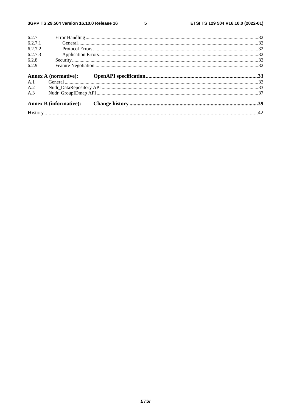$5\phantom{a}$ 

|         | <b>Annex B</b> (informative): |  |
|---------|-------------------------------|--|
| A.3     |                               |  |
| A.2     |                               |  |
| A.1     |                               |  |
|         |                               |  |
| 6.2.9   |                               |  |
| 6.2.8   |                               |  |
| 6.2.7.3 |                               |  |
| 6.2.7.2 |                               |  |
| 6.2.7.1 |                               |  |
| 6.2.7   |                               |  |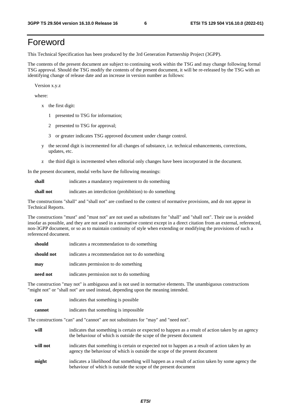## Foreword

This Technical Specification has been produced by the 3rd Generation Partnership Project (3GPP).

The contents of the present document are subject to continuing work within the TSG and may change following formal TSG approval. Should the TSG modify the contents of the present document, it will be re-released by the TSG with an identifying change of release date and an increase in version number as follows:

Version x.y.z

where:

- x the first digit:
	- 1 presented to TSG for information;
	- 2 presented to TSG for approval;
	- 3 or greater indicates TSG approved document under change control.
- y the second digit is incremented for all changes of substance, i.e. technical enhancements, corrections, updates, etc.
- z the third digit is incremented when editorial only changes have been incorporated in the document.

In the present document, modal verbs have the following meanings:

**shall** indicates a mandatory requirement to do something

**shall not** indicates an interdiction (prohibition) to do something

The constructions "shall" and "shall not" are confined to the context of normative provisions, and do not appear in Technical Reports.

The constructions "must" and "must not" are not used as substitutes for "shall" and "shall not". Their use is avoided insofar as possible, and they are not used in a normative context except in a direct citation from an external, referenced, non-3GPP document, or so as to maintain continuity of style when extending or modifying the provisions of such a referenced document.

| should     | indicates a recommendation to do something     |
|------------|------------------------------------------------|
| should not | indicates a recommendation not to do something |
| may        | indicates permission to do something           |
| need not   | indicates permission not to do something       |

The construction "may not" is ambiguous and is not used in normative elements. The unambiguous constructions "might not" or "shall not" are used instead, depending upon the meaning intended.

| can    | indicates that something is possible   |
|--------|----------------------------------------|
| cannot | indicates that something is impossible |

The constructions "can" and "cannot" are not substitutes for "may" and "need not".

| will     | indicates that something is certain or expected to happen as a result of action taken by an agency<br>the behaviour of which is outside the scope of the present document     |
|----------|-------------------------------------------------------------------------------------------------------------------------------------------------------------------------------|
| will not | indicates that something is certain or expected not to happen as a result of action taken by an<br>agency the behaviour of which is outside the scope of the present document |
| might    | indicates a likelihood that something will happen as a result of action taken by some agency the<br>behaviour of which is outside the scope of the present document           |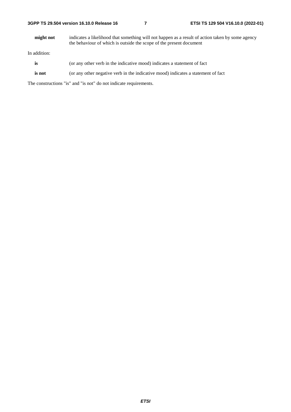**might not** indicates a likelihood that something will not happen as a result of action taken by some agency the behaviour of which is outside the scope of the present document

In addition:

- **is** (or any other verb in the indicative mood) indicates a statement of fact
- **is not** (or any other negative verb in the indicative mood) indicates a statement of fact

The constructions "is" and "is not" do not indicate requirements.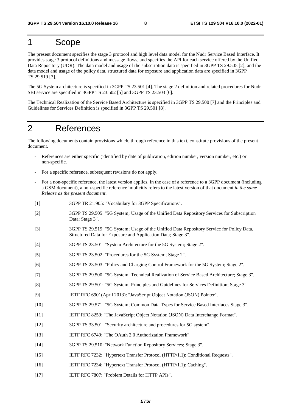## 1 Scope

The present document specifies the stage 3 protocol and high level data model for the Nudr Service Based Interface. It provides stage 3 protocol definitions and message flows, and specifies the API for each service offered by the Unified Data Repository (UDR). The data model and usage of the subscription data is specified in 3GPP TS 29.505 [2], and the data model and usage of the policy data, structured data for exposure and application data are specified in 3GPP TS 29.519 [3].

The 5G System architecture is specified in 3GPP TS 23.501 [4]. The stage 2 definition and related procedures for Nudr SBI service are specified in 3GPP TS 23.502 [5] and 3GPP TS 23.503 [6].

The Technical Realization of the Service Based Architecture is specified in 3GPP TS 29.500 [7] and the Principles and Guidelines for Services Definition is specified in 3GPP TS 29.501 [8].

## 2 References

The following documents contain provisions which, through reference in this text, constitute provisions of the present document.

- References are either specific (identified by date of publication, edition number, version number, etc.) or non-specific.
- For a specific reference, subsequent revisions do not apply.
- For a non-specific reference, the latest version applies. In the case of a reference to a 3GPP document (including a GSM document), a non-specific reference implicitly refers to the latest version of that document *in the same Release as the present document*.
- [1] 3GPP TR 21.905: "Vocabulary for 3GPP Specifications".
- [2] 3GPP TS 29.505: "5G System; Usage of the Unified Data Repository Services for Subscription Data; Stage 3".
- [3] 3GPP TS 29.519: "5G System; Usage of the Unified Data Repository Service for Policy Data, Structured Data for Exposure and Application Data; Stage 3".
- [4] 3GPP TS 23.501: "System Architecture for the 5G System; Stage 2".
- [5] 3GPP TS 23.502: "Procedures for the 5G System; Stage 2".
- [6] 3GPP TS 23.503: "Policy and Charging Control Framework for the 5G System; Stage 2".
- [7] 3GPP TS 29.500: "5G System; Technical Realization of Service Based Architecture; Stage 3".
- [8] 3GPP TS 29.501: "5G System; Principles and Guidelines for Services Definition; Stage 3".
- [9] IETF RFC 6901(April 2013): "JavaScript Object Notation (JSON) Pointer".
- [10] 3GPP TS 29.571: "5G System; Common Data Types for Service Based Interfaces Stage 3".
- [11] IETF RFC 8259: "The JavaScript Object Notation (JSON) Data Interchange Format".
- [12] 3GPP TS 33.501: "Security architecture and procedures for 5G system".
- [13] IETF RFC 6749: "The OAuth 2.0 Authorization Framework".
- [14] 3GPP TS 29.510: "Network Function Repository Services; Stage 3".
- [15] IETF RFC 7232: "Hypertext Transfer Protocol (HTTP/1.1): Conditional Requests".
- [16] IETF RFC 7234: "Hypertext Transfer Protocol (HTTP/1.1): Caching".
- [17] IETF RFC 7807: "Problem Details for HTTP APIs".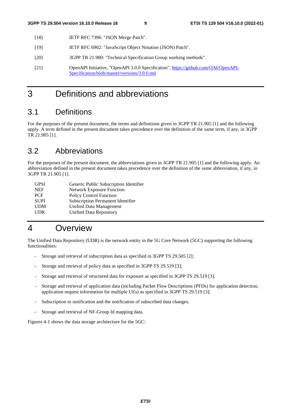- [18] IETF RFC 7396: "JSON Merge Patch".
- [19] IETF RFC 6902: "JavaScript Object Notation (JSON) Patch".
- [20] 3GPP TR 21.900: "Technical Specification Group working methods".
- [21] OpenAPI Initiative, "OpenAPI 3.0.0 Specification", [https://github.com/OAI/OpenAPI-](https://github.com/OAI/OpenAPI-Specification/blob/master/versions/3.0.0.md)[Specification/blob/master/versions/3.0.0.md](https://github.com/OAI/OpenAPI-Specification/blob/master/versions/3.0.0.md)

## 3 Definitions and abbreviations

## 3.1 Definitions

For the purposes of the present document, the terms and definitions given in 3GPP TR 21.905 [1] and the following apply. A term defined in the present document takes precedence over the definition of the same term, if any, in 3GPP TR 21.905 [1].

## 3.2 Abbreviations

For the purposes of the present document, the abbreviations given in 3GPP TR 21.905 [1] and the following apply. An abbreviation defined in the present document takes precedence over the definition of the same abbreviation, if any, in 3GPP TR 21.905 [1].

| Generic Public Subscription Identifier |
|----------------------------------------|
| <b>Network Exposure Function</b>       |
| <b>Policy Control Function</b>         |
| Subscription Permanent Identifier      |
| Unified Data Management                |
| Unified Data Repository                |
|                                        |

## 4 Overview

The Unified Data Repository (UDR) is the network entity in the 5G Core Network (5GC) supporting the following functionalities:

- Storage and retrieval of subscription data as specified in 3GPP TS 29.505 [2];
- Storage and retrieval of policy data as specified in 3GPP TS 29.519 [3];
- Storage and retrieval of structured data for exposure as specified in 3GPP TS 29.519 [3];
- Storage and retrieval of application data (including Packet Flow Descriptions (PFDs) for application detection, application request information for multiple UEs) as specified in 3GPP TS 29.519 [3];
- Subscription to notification and the notification of subscribed data changes.
- Storage and retrieval of NF-Group Id mapping data.

Figures 4-1 shows the data storage architecture for the 5GC: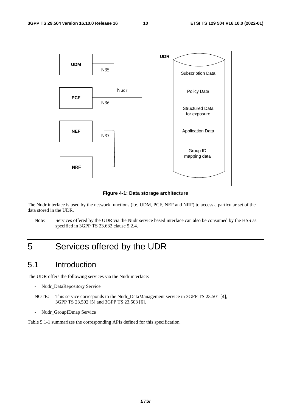

**Figure 4-1: Data storage architecture** 

The Nudr interface is used by the network functions (i.e. UDM, PCF, NEF and NRF) to access a particular set of the data stored in the UDR.

Note: Services offered by the UDR via the Nudr service based interface can also be consumed by the HSS as specified in 3GPP TS 23.632 clause 5.2.4.

## 5 Services offered by the UDR

## 5.1 Introduction

The UDR offers the following services via the Nudr interface:

- Nudr\_DataRepository Service
- NOTE: This service corresponds to the Nudr DataManagement service in 3GPP TS 23.501 [4], 3GPP TS 23.502 [5] and 3GPP TS 23.503 [6].
- Nudr\_GroupIDmap Service

Table 5.1-1 summarizes the corresponding APIs defined for this specification.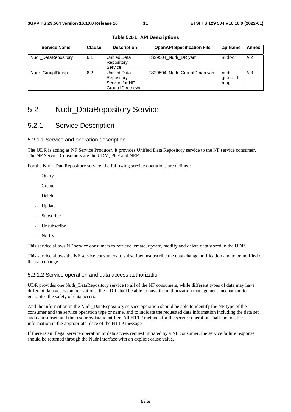| <b>Service Name</b> | <b>Clause</b> | <b>Description</b>                                                         | <b>OpenAPI Specification File</b> | apiName                   | Annex |
|---------------------|---------------|----------------------------------------------------------------------------|-----------------------------------|---------------------------|-------|
| Nudr_DataRepository | 6.1           | <b>Unified Data</b><br>Repository<br>Service                               | TS29504_Nudr_DR.yaml              | nudr-dr                   | A.2   |
| Nudr GroupIDmap     | 6.2           | <b>Unified Data</b><br>Repository<br>Service for NF-<br>Group ID retrieval | TS29504_Nudr_GroupIDmap.yaml      | nudr-<br>group-id-<br>map | A.3   |

**Table 5.1-1: API Descriptions** 

## 5.2 Nudr\_DataRepository Service

## 5.2.1 Service Description

## 5.2.1.1 Service and operation description

The UDR is acting as NF Service Producer. It provides Unified Data Repository service to the NF service consumer. The NF Service Consumers are the UDM, PCF and NEF.

For the Nudr\_DataRepository service, the following service operations are defined:

- **Ouery**
- **Create**
- **Delete**
- Update
- Subscribe
- Unsubscribe
- Notify

This service allows NF service consumers to retrieve, create, update, modify and delete data stored in the UDR.

This service allows the NF service consumers to subscribe/unsubscribe the data change notification and to be notified of the data change.

## 5.2.1.2 Service operation and data access authorization

UDR provides one Nudr\_DataRepository service to all of the NF consumers, while different types of data may have different data access authorizations, the UDR shall be able to have the authorization management mechanism to guarantee the safety of data access.

And the information in the Nudr\_DataRepository service operation should be able to identify the NF type of the consumer and the service operation type or name, and to indicate the requested data information including the data set and data subset, and the resource/data identifier. All HTTP methods for the service operation shall include the information in the appropriate place of the HTTP message.

If there is an illegal service operation or data access request initiated by a NF consumer, the service failure response should be returned through the Nudr interface with an explicit cause value.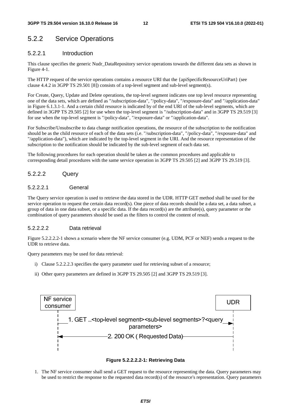## 5.2.2 Service Operations

## 5.2.2.1 Introduction

This clause specifies the generic Nudr\_DataRepository service operations towards the different data sets as shown in Figure 4-1.

The HTTP request of the service operations contains a resource URI that the {apiSpecificResourceUriPart} (see clause 4.4.2 in 3GPP TS 29.501 [8]) consists of a top-level segment and sub-level segment(s).

For Create, Query, Update and Delete operations, the top-level segment indicates one top level resource representing one of the data sets, which are defined as "/subscription-data", "/policy-data", "/exposure-data" and "/application-data" in Figure 6.1.3.1-1. And a certain child resource is indicated by of the end URI of the sub-level segments, which are defined in 3GPP TS 29.505 [2] for use when the top-level segment is "/subscription-data" and in 3GPP TS 29.519 [3] for use when the top-level segment is "/policy-data", "/exposure-data" or "/application-data".

For Subscribe/Unsubscribe to data change notification operations, the resource of the subscription to the notification should be as the child resource of each of the data sets (i.e. "/subscription-data", "/policy-data", "/exposure-data" and "/application-data"), which are indicated by the top-level segment in the URI. And the resource representation of the subscription to the notification should be indicated by the sub-level segment of each data set.

The following procedures for each operation should be taken as the common procedures and applicable to corresponding detail procedures with the same service operation in 3GPP TS 29.505 [2] and 3GPP TS 29.519 [3].

## 5.2.2.2 Query

### 5.2.2.2.1 General

The Query service operation is used to retrieve the data stored in the UDR. HTTP GET method shall be used for the service operation to request the certain data record(s). One piece of data records should be a data set, a data subset, a group of data in one data subset, or a specific data. If the data record(s) are the attribute(s), query parameter or the combination of query parameters should be used as the filters to control the content of result.

## 5.2.2.2.2 Data retrieval

Figure 5.2.2.2.2-1 shows a scenario where the NF service consumer (e.g. UDM, PCF or NEF) sends a request to the UDR to retrieve data.

Query parameters may be used for data retrieval:

- i) Clause 5.2.2.2.3 specifies the query parameter used for retrieving subset of a resource;
- ii) Other query parameters are defined in 3GPP TS 29.505 [2] and 3GPP TS 29.519 [3].





1. The NF service consumer shall send a GET request to the resource representing the data. Query parameters may be used to restrict the response to the requested data record(s) of the resource's representation. Query parameters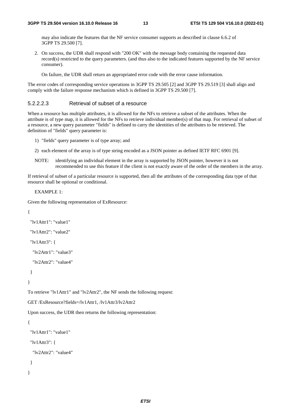may also indicate the features that the NF service consumer supports as described in clause 6.6.2 of 3GPP TS 29.500 [7].

2. On success, the UDR shall respond with "200 OK" with the message body containing the requested data record(s) restricted to the query parameters. (and thus also to the indicated features supported by the NF service consumer).

On failure, the UDR shall return an appropriated error code with the error cause information.

The error codes of corresponding service operations in 3GPP TS 29.505 [2] and 3GPP TS 29.519 [3] shall align and comply with the failure response mechanism which is defined in 3GPP TS 29.500 [7].

## 5.2.2.2.3 Retrieval of subset of a resource

When a resource has multiple attributes, it is allowed for the NFs to retrieve a subset of the attributes. When the attribute is of type map, it is allowed for the NFs to retrieve individual member(s) of that map. For retrieval of subset of a resource, a new query parameter "fields" is defined to carry the identities of the attributes to be retrieved. The definition of "fields" query parameter is:

- 1) "fields" query parameter is of type array; and
- 2) each element of the array is of type string encoded as a JSON pointer as defined IETF RFC 6901 [9].
- NOTE: identifying an individual element in the array is supported by JSON pointer, however it is not recommended to use this feature if the client is not exactly aware of the order of the members in the array.

If retrieval of subset of a particular resource is supported, then all the attributes of the corresponding data type of that resource shall be optional or conditional.

EXAMPLE 1:

Given the following representation of ExResource:

```
{
```

```
 "lv1Attr1": "value1" 
  "lv1Attr2": "value2" 
  "lv1Attr3": { 
   "lv2Attr1": "value3" 
   "lv2Attr2": "value4" 
  } 
} 
To retrieve "lv1Attr1" and "lv2Attr2", the NF sends the following request: 
GET /ExResource?fields=/lv1Attr1, /lv1Attr3/lv2Attr2 
Upon success, the UDR then returns the following representation: 
{
```

```
 "lv1Attr3": { 
  "lv2Attr2": "value4" 
 }
```
"lv1Attr1": "value1"

}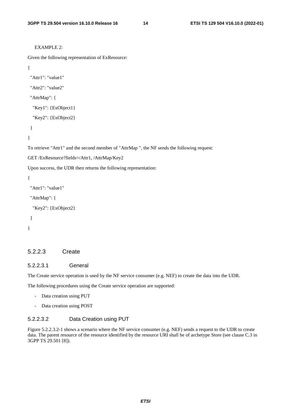```
EXAMPLE 2:
```

```
Given the following representation of ExResource:
```

```
{
```

```
 "Attr1": "value1" 
 "Attr2": "value2" 
 "AttrMap": { 
  "Key1": {ExObject1} 
  "Key2": {ExObject2}
```
}

}

To retrieve "Attr1" and the second member of "AttrMap ", the NF sends the following request:

```
GET /ExResource?fields=/Attr1, /AttrMap/Key2
```
Upon success, the UDR then returns the following representation:

```
{
```

```
 "Attr1": "value1"
```

```
 "AttrMap": {
```

```
 "Key2": {ExObject2} 
 }
```
}

### 5.2.2.3 Create

## 5.2.2.3.1 General

The Create service operation is used by the NF service consumer (e.g. NEF) to create the data into the UDR.

The following procedures using the Create service operation are supported:

- Data creation using PUT
- Data creation using POST

## 5.2.2.3.2 Data Creation using PUT

Figure 5.2.2.3.2-1 shows a scenario where the NF service consumer (e.g. NEF) sends a request to the UDR to create data. The parent resource of the resource identified by the resource URI shall be of archetype Store (see clause C.3 in 3GPP TS 29.501 [8]).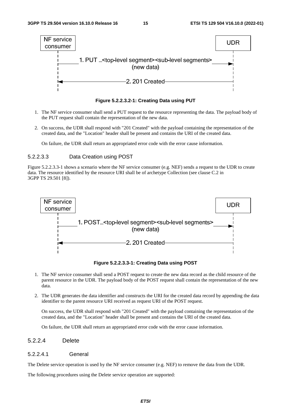

**Figure 5.2.2.3.2-1: Creating Data using PUT** 

- 1. The NF service consumer shall send a PUT request to the resource representing the data. The payload body of the PUT request shall contain the representation of the new data.
- 2. On success, the UDR shall respond with "201 Created" with the payload containing the representation of the created data, and the "Location" header shall be present and contains the URI of the created data.

On failure, the UDR shall return an appropriated error code with the error cause information.

#### 5.2.2.3.3 Data Creation using POST

Figure 5.2.2.3.3-1 shows a scenario where the NF service consumer (e.g. NEF) sends a request to the UDR to create data. The resource identified by the resource URI shall be of archetype Collection (see clause C.2 in 3GPP TS 29.501 [8]).



**Figure 5.2.2.3.3-1: Creating Data using POST** 

- 1. The NF service consumer shall send a POST request to create the new data record as the child resource of the parent resource in the UDR. The payload body of the POST request shall contain the representation of the new data.
- 2. The UDR generates the data identifier and constructs the URI for the created data record by appending the data identifier to the parent resource URI received as request URI of the POST request.

 On success, the UDR shall respond with "201 Created" with the payload containing the representation of the created data, and the "Location" header shall be present and contains the URI of the created data.

On failure, the UDR shall return an appropriated error code with the error cause information.

## 5.2.2.4 Delete

#### 5.2.2.4.1 General

The Delete service operation is used by the NF service consumer (e.g. NEF) to remove the data from the UDR.

The following procedures using the Delete service operation are supported: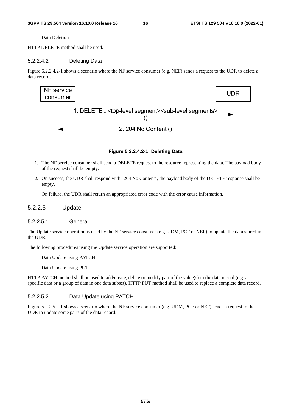Data Deletion

HTTP DELETE method shall be used.

### 5.2.2.4.2 Deleting Data

Figure 5.2.2.4.2-1 shows a scenario where the NF service consumer (e.g. NEF) sends a request to the UDR to delete a data record.



**Figure 5.2.2.4.2-1: Deleting Data** 

- 1. The NF service consumer shall send a DELETE request to the resource representing the data. The payload body of the request shall be empty.
- 2. On success, the UDR shall respond with "204 No Content", the payload body of the DELETE response shall be empty.

On failure, the UDR shall return an appropriated error code with the error cause information.

## 5.2.2.5 Update

#### 5.2.2.5.1 General

The Update service operation is used by the NF service consumer (e.g. UDM, PCF or NEF) to update the data stored in the UDR.

The following procedures using the Update service operation are supported:

- Data Update using PATCH
- Data Update using PUT

HTTP PATCH method shall be used to add/create, delete or modify part of the value(s) in the data record (e.g. a specific data or a group of data in one data subset). HTTP PUT method shall be used to replace a complete data record.

#### 5.2.2.5.2 Data Update using PATCH

Figure 5.2.2.5.2-1 shows a scenario where the NF service consumer (e.g. UDM, PCF or NEF) sends a request to the UDR to update some parts of the data record.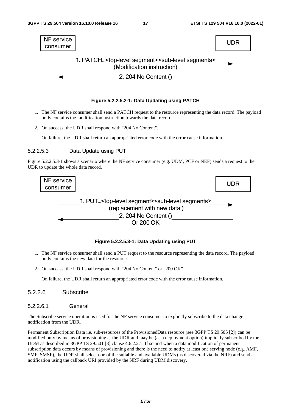

**Figure 5.2.2.5.2-1: Data Updating using PATCH** 

- 1. The NF service consumer shall send a PATCH request to the resource representing the data record. The payload body contains the modification instruction towards the data record.
- 2. On success, the UDR shall respond with "204 No Content".

On failure, the UDR shall return an appropriated error code with the error cause information.

#### 5.2.2.5.3 Data Update using PUT

Figure 5.2.2.5.3-1 shows a scenario where the NF service consumer (e.g. UDM, PCF or NEF) sends a request to the UDR to update the whole data record.



**Figure 5.2.2.5.3-1: Data Updating using PUT** 

- 1. The NF service consumer shall send a PUT request to the resource representing the data record. The payload body contains the new data for the resource.
- 2. On success, the UDR shall respond with "204 No Content" or "200 OK".

On failure, the UDR shall return an appropriated error code with the error cause information.

## 5.2.2.6 Subscribe

5.2.2.6.1 General

The Subscribe service operation is used for the NF service consumer to explicitly subscribe to the data change notification from the UDR.

Permanent Subscription Data i.e. sub-resources of the ProvisionedData resource (see 3GPP TS 29.505 [2]) can be modified only by means of provisioning at the UDR and may be (as a deployment option) implicitly subscribed by the UDM as described in 3GPP TS 29.501 [8] clause 4.6.2.2.1. If so and when a data modification of permanent subscription data occurs by means of provisioning and there is the need to notify at least one serving node (e.g. AMF, SMF, SMSF), the UDR shall select one of the suitable and available UDMs (as discovered via the NRF) and send a notification using the callback URI provided by the NRF during UDM discovery.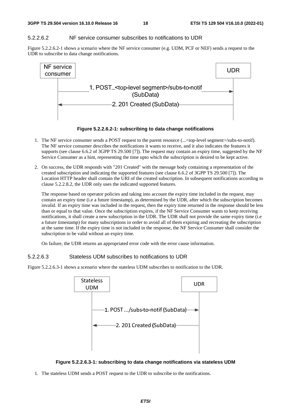## 5.2.2.6.2 NF service consumer subscribes to notifications to UDR

Figure 5.2.2.6.2-1 shows a scenario where the NF service consumer (e.g. UDM, PCF or NEF) sends a request to the UDR to subscribe to data change notifications.



**Figure 5.2.2.6.2-1: subscribing to data change notifications** 

- 1. The NF service consumer sends a POST request to the parent resource (...<top-level segment>/subs-to-notif). The NF service consumer describes the notifications it wants to receive, and it also indicates the features it supports (see clause 6.6.2 of 3GPP TS 29.500 [7]). The request may contain an expiry time, suggested by the NF Service Consumer as a hint, representing the time upto which the subscription is desired to be kept active.
- 2. On success, the UDR responds with "201 Created" with the message body containing a representation of the created subscription and indicating the supported features (see clause 6.6.2 of 3GPP TS 29.500 [7]). The Location HTTP header shall contain the URI of the created subscription. In subsequent notifications according to clause 5.2.2.8.2, the UDR only uses the indicated supported features.

The response based on operator policies and taking into account the expiry time included in the request, may contain an expiry time (i.e a future timestamp), as determined by the UDR, after which the subscription becomes invalid. If an expiry time was included in the request, then the expiry time returned in the response should be less than or equal to that value. Once the subscription expires, if the NF Service Consumer wants to keep receiving notifications, it shall create a new subscription in the UDR. The UDR shall not provide the same expiry time (i.e a future timestamp) for many subscriptions in order to avoid all of them expiring and recreating the subscription at the same time. If the expiry time is not included in the response, the NF Service Consumer shall consider the subscription to be valid without an expiry time.

On failure, the UDR returns an appropriated error code with the error cause information.

## 5.2.2.6.3 Stateless UDM subscribes to notifications to UDR

Figure 5.2.2.6.3-1 shows a scenario where the stateless UDM subscribes to notification to the UDR.





1. The stateless UDM sends a POST request to the UDR to subscribe to the notifications.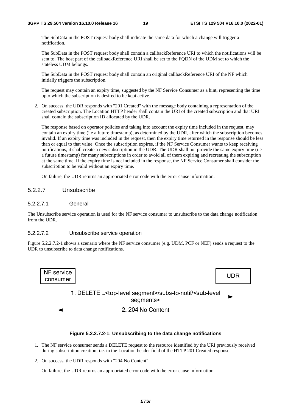The SubData in the POST request body shall indicate the same data for which a change will trigger a notification.

 The SubData in the POST request body shall contain a callbackReference URI to which the notifications will be sent to. The host part of the callbackReference URI shall be set to the FQDN of the UDM set to which the stateless UDM belongs.

 The SubData in the POST request body shall contain an original callbackReference URI of the NF which initially triggers the subscription.

The request may contain an expiry time, suggested by the NF Service Consumer as a hint, representing the time upto which the subscription is desired to be kept active.

2. On success, the UDR responds with "201 Created" with the message body containing a representation of the created subscription. The Location HTTP header shall contain the URI of the created subscription and that URI shall contain the subscription ID allocated by the UDR.

The response based on operator policies and taking into account the expiry time included in the request, may contain an expiry time (i.e a future timestamp), as determined by the UDR, after which the subscription becomes invalid. If an expiry time was included in the request, then the expiry time returned in the response should be less than or equal to that value. Once the subscription expires, if the NF Service Consumer wants to keep receiving notifications, it shall create a new subscription in the UDR. The UDR shall not provide the same expiry time (i.e a future timestamp) for many subscriptions in order to avoid all of them expiring and recreating the subscription at the same time. If the expiry time is not included in the response, the NF Service Consumer shall consider the subscription to be valid without an expiry time.

On failure, the UDR returns an appropriated error code with the error cause information.

## 5.2.2.7 Unsubscribe

#### 5.2.2.7.1 General

The Unsubscribe service operation is used for the NF service consumer to unsubscribe to the data change notification from the UDR.

### 5.2.2.7.2 Unsubscribe service operation

Figure 5.2.2.7.2-1 shows a scenario where the NF service consumer (e.g. UDM, PCF or NEF) sends a request to the UDR to unsubscribe to data change notifications.



#### **Figure 5.2.2.7.2-1: Unsubscribing to the data change notifications**

- 1. The NF service consumer sends a DELETE request to the resource identified by the URI previously received during subscription creation, i.e. in the Location header field of the HTTP 201 Created response.
- 2. On success, the UDR responds with "204 No Content".

On failure, the UDR returns an appropriated error code with the error cause information.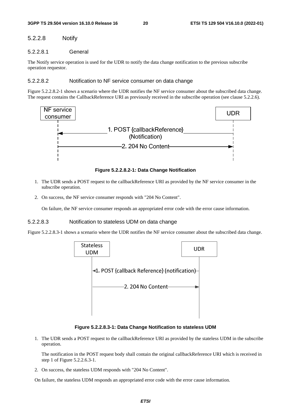## 5.2.2.8 Notify

## 5.2.2.8.1 General

The Notify service operation is used for the UDR to notify the data change notification to the previous subscribe operation requestor.

## 5.2.2.8.2 Notification to NF service consumer on data change

Figure 5.2.2.8.2-1 shows a scenario where the UDR notifies the NF service consumer about the subscribed data change. The request contains the CallbackReference URI as previously received in the subscribe operation (see clause 5.2.2.6).



**Figure 5.2.2.8.2-1: Data Change Notification** 

- 1. The UDR sends a POST request to the callbackReference URI as provided by the NF service consumer in the subscribe operation.
- 2. On success, the NF service consumer responds with "204 No Content".

On failure, the NF service consumer responds an appropriated error code with the error cause information.

### 5.2.2.8.3 Notification to stateless UDM on data change

Figure 5.2.2.8.3-1 shows a scenario where the UDR notifies the NF service consumer about the subscribed data change.



**Figure 5.2.2.8.3-1: Data Change Notification to stateless UDM** 

1. The UDR sends a POST request to the callbackReference URI as provided by the stateless UDM in the subscribe operation.

 The notification in the POST request body shall contain the original callbackReference URI which is received in step 1 of Figure 5.2.2.6.3-1.

2. On success, the stateless UDM responds with "204 No Content".

On failure, the stateless UDM responds an appropriated error code with the error cause information.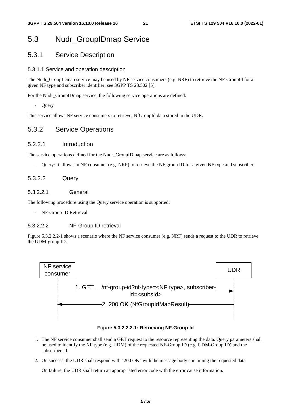## 5.3 Nudr\_GroupIDmap Service

## 5.3.1 Service Description

## 5.3.1.1 Service and operation description

The Nudr\_GroupIDmap service may be used by NF service consumers (e.g. NRF) to retrieve the NF-GroupId for a given NF type and subscriber identifier; see 3GPP TS 23.502 [5].

For the Nudr\_GroupIDmap service, the following service operations are defined:

- Query

This service allows NF service consumers to retrieve, NfGroupId data stored in the UDR.

## 5.3.2 Service Operations

## 5.2.2.1 Introduction

The service operations defined for the Nudr\_GroupIDmap service are as follows:

- Query: It allows an NF consumer (e.g. NRF) to retrieve the NF group ID for a given NF type and subscriber.

## 5.3.2.2 Query

## 5.3.2.2.1 General

The following procedure using the Query service operation is supported:

NF-Group ID Retrieval

## 5.3.2.2.2 NF-Group ID retrieval

Figure 5.3.2.2.2-1 shows a scenario where the NF service consumer (e.g. NRF) sends a request to the UDR to retrieve the UDM-group ID.



#### **Figure 5.3.2.2.2-1: Retrieving NF-Group Id**

- 1. The NF service consumer shall send a GET request to the resource representing the data. Query parameters shall be used to identify the NF type (e.g. UDM) of the requested NF-Group ID (e.g. UDM-Group ID) and the subscriber-id.
- 2. On success, the UDR shall respond with "200 OK" with the message body containing the requested data

On failure, the UDR shall return an appropriated error code with the error cause information.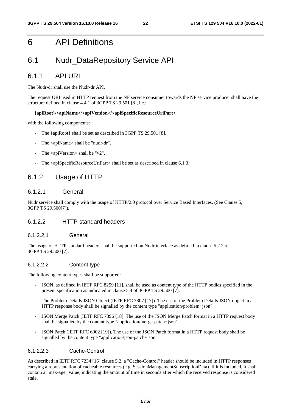## 6 API Definitions

## 6.1 Nudr\_DataRepository Service API

## 6.1.1 API URI

The Nudr-dr shall use the Nudr-dr API.

The request URI used in HTTP request from the NF service consumer towards the NF service producer shall have the structure defined in clause 4.4.1 of 3GPP TS 29.501 [8], i.e.:

### **{apiRoot}/<apiName>/<apiVersion>/<apiSpecificResourceUriPart>**

with the following components:

- The {apiRoot} shall be set as described in 3GPP TS 29.501 [8].
- The <apiName> shall be "nudr-dr".
- The  $\langle$ apiVersion $>$ shall be "v2".
- The <apiSpecificResourceUriPart> shall be set as described in clause 6.1.3.

## 6.1.2 Usage of HTTP

## 6.1.2.1 General

Nudr service shall comply with the usage of HTTP/2.0 protocol over Service Based Interfaces. (See Clause 5, 3GPP TS 29.500[7]).

## 6.1.2.2 HTTP standard headers

### 6.1.2.2.1 General

The usage of HTTP standard headers shall be supported on Nudr interface as defined in clause 5.2.2 of 3GPP TS 29.500 [7].

## 6.1.2.2.2 Content type

The following content types shall be supported:

- JSON, as defined in IETF RFC 8259 [11], shall be used as content type of the HTTP bodies specified in the present specification as indicated in clause 5.4 of 3GPP TS 29.500 [7].
- The Problem Details JSON Object (IETF RFC 7807 [17]). The use of the Problem Details JSON object in a HTTP response body shall be signalled by the content type "application/problem+json".
- JSON Merge Patch (IETF RFC 7396 [18]. The use of the JSON Merge Patch format in a HTTP request body shall be signalled by the content type "application/merge-patch+json".
- JSON Patch (IETF RFC 6902 [19]). The use of the JSON Patch format in a HTTP request body shall be signalled by the content type "application/json-patch+json".

## 6.1.2.2.3 Cache-Control

As described in IETF RFC 7234 [16] clause 5.2, a "Cache-Control" header should be included in HTTP responses carrying a representation of cacheable resources (e.g. SessionManagementSubscriptionData). If it is included, it shall contain a "max-age" value, indicating the amount of time in seconds after which the received response is considered stale.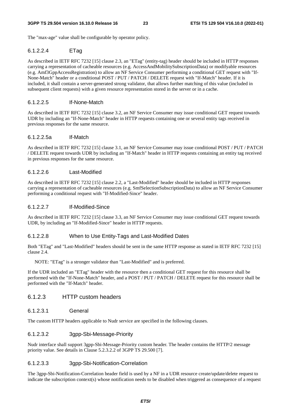The "max-age" value shall be configurable by operator policy.

## 6.1.2.2.4 ETag

As described in IETF RFC 7232 [15] clause 2.3, an "ETag" (entity-tag) header should be included in HTTP responses carrying a representation of cacheable resources (e.g. AccessAndMobilitySubscriptionData) or modifyable resources (e.g. Amf3GppAccessRegistration) to allow an NF Service Consumer performing a conditional GET request with "If-None-Match" header or a conditional POST / PUT / PATCH / DELETE request with "If-Match" header. If it is included, it shall contain a server-generated strong validator, that allows further matching of this value (included in subsequent client requests) with a given resource representation stored in the server or in a cache.

## 6.1.2.2.5 If-None-Match

As described in IETF RFC 7232 [15] clause 3.2, an NF Service Consumer may issue conditional GET request towards UDR by including an "If-None-Match" header in HTTP requests containing one or several entity tags received in previous responses for the same resource.

### 6.1.2.2.5a If-Match

As described in IETF RFC 7232 [15] clause 3.1, an NF Service Consumer may issue conditional POST / PUT / PATCH / DELETE request towards UDR by including an "If-Match" header in HTTP requests containing an entity tag received in previous responses for the same resource.

## 6.1.2.2.6 Last-Modified

As described in IETF RFC 7232 [15] clause 2.2, a "Last-Modified" header should be included in HTTP responses carrying a representation of cacheable resources (e.g. SmfSelectionSubscriptionData) to allow an NF Service Consumer performing a conditional request with "If-Modified-Since" header.

### 6.1.2.2.7 If-Modified-Since

As described in IETF RFC 7232 [15] clause 3.3, an NF Service Consumer may issue conditional GET request towards UDR, by including an "If-Modified-Since" header in HTTP requests.

## 6.1.2.2.8 When to Use Entity-Tags and Last-Modified Dates

Both "ETag" and "Last-Modified" headers should be sent in the same HTTP response as stated in IETF RFC 7232 [15] clause 2.4.

NOTE: "ETag" is a stronger validator than "Last-Modified" and is preferred.

If the UDR included an "ETag" header with the resource then a conditional GET request for this resource shall be performed with the "If-None-Match" header, and a POST / PUT / PATCH / DELETE request for this resource shall be performed with the "If-Match" header.

## 6.1.2.3 HTTP custom headers

### 6.1.2.3.1 General

The custom HTTP headers applicable to Nudr service are specified in the following clauses.

## 6.1.2.3.2 3gpp-Sbi-Message-Priority

Nudr interface shall support 3gpp-Sbi-Message-Priority custom header. The header contains the HTTP/2 message priority value. See details in Clause 5.2.3.2.2 of 3GPP TS 29.500 [7].

### 6.1.2.3.3 3gpp-Sbi-Notification-Correlation

The 3gpp-Sbi-Notification-Correlation header field is used by a NF in a UDR resource create/update/delete request to indicate the subscription context(s) whose notification needs to be disabled when triggered as consequence of a request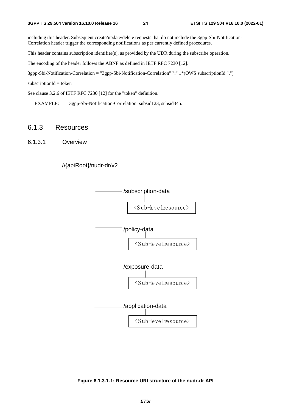including this header. Subsequent create/update/delete requests that do not include the 3gpp-Sbi-Notification-Correlation header trigger the corresponding notifications as per currently defined procedures.

This header contains subscription identifier(s), as provided by the UDR during the subscribe operation.

The encoding of the header follows the ABNF as defined in IETF RFC 7230 [12].

3gpp-Sbi-Notification-Correlation = "3gpp-Sbi-Notification-Correlation" ":" 1\*(OWS subscriptionId ",")

 $subscripted = token$ 

See clause 3.2.6 of IETF RFC 7230 [12] for the "token" definition.

EXAMPLE: 3gpp-Sbi-Notification-Correlation: subsid123, subsid345.

## 6.1.3 Resources

6.1.3.1 Overview



## //{apiRoot}/nudr-dr/v2

**Figure 6.1.3.1-1: Resource URI structure of the nudr-dr API**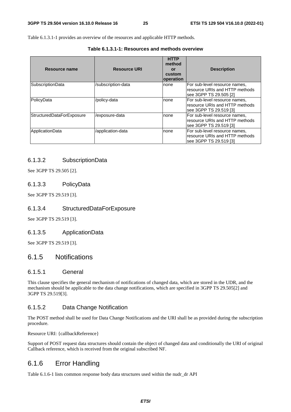Table 6.1.3.1-1 provides an overview of the resources and applicable HTTP methods.

| Table 6.1.3.1-1: Resources and methods overview |  |
|-------------------------------------------------|--|
|-------------------------------------------------|--|

| Resource name             | <b>Resource URI</b> | <b>HTTP</b><br>method<br>or<br>custom<br>operation | <b>Description</b>                                                                         |
|---------------------------|---------------------|----------------------------------------------------|--------------------------------------------------------------------------------------------|
| SubscriptionData          | /subscription-data  | Inone                                              | For sub-level resource names,<br>resource URIs and HTTP methods<br>lsee 3GPP TS 29.505 [2] |
| PolicyData                | /policy-data        | none                                               | For sub-level resource names,<br>resource URIs and HTTP methods<br>see 3GPP TS 29.519 [3]  |
| StructuredDataForExposure | /exposure-data      | Inone                                              | For sub-level resource names,<br>resource URIs and HTTP methods<br>lsee 3GPP TS 29.519 [3] |
| ApplicationData           | /application-data   | Inone                                              | For sub-level resource names,<br>resource URIs and HTTP methods<br>see 3GPP TS 29.519 [3]  |

## 6.1.3.2 SubscriptionData

See 3GPP TS 29.505 [2].

## 6.1.3.3 PolicyData

See 3GPP TS 29.519 [3].

## 6.1.3.4 StructuredDataForExposure

See 3GPP TS 29.519 [3].

### 6.1.3.5 ApplicationData

See 3GPP TS 29.519 [3].

## 6.1.5 Notifications

## 6.1.5.1 General

This clause specifies the general mechanism of notifications of changed data, which are stored in the UDR, and the mechanism should be applicable to the data change notifications, which are specified in 3GPP TS 29.505[2] and 3GPP TS 29.519[3].

## 6.1.5.2 Data Change Notification

The POST method shall be used for Data Change Notifications and the URI shall be as provided during the subscription procedure.

Resource URI: {callbackReference}

Support of POST request data structures should contain the object of changed data and conditionally the URI of original Callback reference, which is received from the original subscribed NF.

## 6.1.6 Error Handling

Table 6.1.6-1 lists common response body data structures used within the nudr\_dr API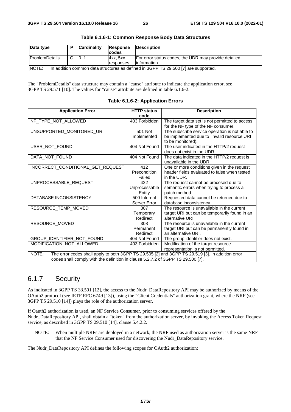| Data type                                                                                   | Ð | <b>Cardinality</b> | Response  | <b>IDescription</b>                                  |  |
|---------------------------------------------------------------------------------------------|---|--------------------|-----------|------------------------------------------------------|--|
|                                                                                             |   |                    | codes     |                                                      |  |
| <b>ProblemDetails</b>                                                                       |   | 101                | 4xx.5xx   | For error status codes, the UDR may provide detailed |  |
|                                                                                             |   |                    | responses | linformation.                                        |  |
| NOTE:<br>In addition common data structures as defined in 3GPP TS 29.500 [7] are supported. |   |                    |           |                                                      |  |

| Table 6.1.6-1: Common Response Body Data Structures |  |  |
|-----------------------------------------------------|--|--|
|-----------------------------------------------------|--|--|

The "ProblemDetails" data structure may contain a "cause" attribute to indicate the application error, see 3GPP TS 29.571 [10]. The values for "cause" attribute are defined in table 6.1.6-2.

| <b>Application Error</b>                                                        | <b>HTTP status</b> | <b>Description</b>                                                                               |
|---------------------------------------------------------------------------------|--------------------|--------------------------------------------------------------------------------------------------|
|                                                                                 | code               |                                                                                                  |
| NF_TYPE_NOT_ALLOWED                                                             | 403 Forbidden      | The target data set is not permitted to access                                                   |
|                                                                                 |                    | for the NF type of the NF consumer.                                                              |
| UNSUPPORTED_MONITORED_URI                                                       | 501 Not            | The subscribe service operation is not able to                                                   |
|                                                                                 | Implemented        | be implemented due to invalid resource URI                                                       |
|                                                                                 |                    | to be monitored).                                                                                |
| USER_NOT_FOUND                                                                  | 404 Not Found      | The user indicated in the HTTP/2 request                                                         |
|                                                                                 |                    | does not exist in the UDR.                                                                       |
| DATA_NOT_FOUND                                                                  | 404 Not Found      | The data indicated in the HTTP/2 request is                                                      |
|                                                                                 |                    | unavailable in the UDR.                                                                          |
| INCORRECT_CONDITIONAL_GET_REQUEST                                               | 412                | One or more conditions given in the request                                                      |
|                                                                                 | Precondition       | header fields evaluated to false when tested                                                     |
|                                                                                 | Failed             | in the UDR.                                                                                      |
| UNPROCESSABLE_REQUEST                                                           | 422                | The request cannot be procesed due to                                                            |
|                                                                                 | Unprocessable      | semantic errors when trying to process a                                                         |
|                                                                                 | Entity             | patch method                                                                                     |
| DATABASE INCONSISTENCY                                                          | 500 Internal       | Requested data cannot be returned due to                                                         |
|                                                                                 | Server Error       | database inconsistency                                                                           |
| RESOURCE_TEMP_MOVED                                                             | 307                | The resource is unavailable in the current                                                       |
|                                                                                 | Temporary          | target URI but can be temporarily found in an                                                    |
|                                                                                 | Redirect           | alternative URI.                                                                                 |
| RESOURCE_MOVED                                                                  | 308                | The resource is unavailable in the current                                                       |
|                                                                                 | Permanent          | target URI but can be permanently found in                                                       |
|                                                                                 | Redirect           | an alternative URI.                                                                              |
| GROUP_IDENTIFIER_NOT_FOUND                                                      | 404 Not Found      | The group identifier does not exist.                                                             |
| MODIFICATION_NOT_ALLOWED                                                        | 403 Forbidden      | Modification of the target resource                                                              |
|                                                                                 |                    | representation is not permitted.                                                                 |
| NOTE:                                                                           |                    | The error codes shall apply to both 3GPP TS 29.505 [2] and 3GPP TS 29.519 [3]. In addition error |
| codes shall comply with the definition in clause 5.2.7.2 of 3GPP TS 29.500 [7]. |                    |                                                                                                  |

#### **Table 6.1.6-2: Application Errors**

## 6.1.7 Security

As indicated in 3GPP TS 33.501 [12], the access to the Nudr\_DataRepository API may be authorized by means of the OAuth2 protocol (see IETF RFC 6749 [13]), using the "Client Credentials" authorization grant, where the NRF (see 3GPP TS 29.510 [14]) plays the role of the authorization server.

If Oauth2 authorization is used, an NF Service Consumer, prior to consuming services offered by the Nudr\_DataRepository API, shall obtain a "token" from the authorization server, by invoking the Access Token Request service, as described in 3GPP TS 29.510 [14], clause 5.4.2.2.

NOTE: When multiple NRFs are deployed in a network, the NRF used as authorization server is the same NRF that the NF Service Consumer used for discovering the Nudr\_DataRepository service.

The Nudr\_DataRepository API defines the following scopes for OAuth2 authorization: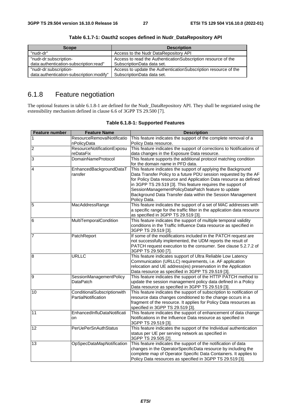| <b>Scope</b>                             | <b>Description</b>                                              |
|------------------------------------------|-----------------------------------------------------------------|
| "nudr-dr"                                | Access to the Nudr DataRepository API                           |
| "nudr-dr:subscription-                   | Access to read the Authentication Subscription resource of the  |
| data:authentication-subscription:read"   | SubscriptionData data set.                                      |
| "nudr-dr:subscription-                   | Access to update the AuthenticationSubscription resource of the |
| data:authentication-subscription:modify" | SubscriptionData data set.                                      |

**Table 6.1.7-1: Oauth2 scopes defined in Nudr\_DataRepository API** 

## 6.1.8 Feature negotiation

The optional features in table 6.1.8-1 are defined for the Nudr\_DataRepository API. They shall be negotiated using the extensibility mechanism defined in clause 6.6 of 3GPP TS 29.500 [7].

| <b>Feature number</b> | <b>Feature Name</b>                                | <b>Description</b>                                                                                                                                                                                                                                                                                                                                                                                         |
|-----------------------|----------------------------------------------------|------------------------------------------------------------------------------------------------------------------------------------------------------------------------------------------------------------------------------------------------------------------------------------------------------------------------------------------------------------------------------------------------------------|
| 1                     | ResourceRemovalNotificatio<br>nPolicyData          | This feature indicates the support of the complete removal of a<br>Policy Data resource.                                                                                                                                                                                                                                                                                                                   |
| $\overline{c}$        | ResourceNotificationExposu<br>reDataFix            | This feature indicates the support of corrections to Notifications of<br>data changes in the Exposure Data resource.                                                                                                                                                                                                                                                                                       |
| ပ                     | DomainNameProtocol                                 | This feature supports the additional protocol matching condition<br>for the domain name in PFD data.                                                                                                                                                                                                                                                                                                       |
| 4                     | EnhancedBackgroundDataT<br>ransfer                 | This feature indicates the support of applying the Background<br>Data Transfer Policy to a future PDU session requested by the AF<br>for Policy Data resource and Application Data resource as defined<br>in 3GPP TS 29.519 [3]. This feature requires the support of<br>SessionManagementPolicyDataPatch feature to update<br>Background Data Transfer data within the Session Management<br>Policy Data. |
| $\overline{5}$        | MacAddressRange                                    | This feature indicates the support of a set of MAC addresses with<br>a specific range for the traffic filter in the application data resource<br>as specified in 3GPP TS 29.519 [3].                                                                                                                                                                                                                       |
| 6                     | MultiTemporalCondition                             | This feature indicates the support of multiple temporal validity<br>conditions in the Traffic Influence Data resource as specified in<br>3GPP TS 29.519 [3].                                                                                                                                                                                                                                               |
| $\overline{7}$        | PatchReport                                        | If some of the modifications included in the PATCH request are<br>not successfully implemented, the UDM reports the result of<br>PATCH request execution to the consumer. See clause 5.2.7.2 of<br>3GPP TS 29.500 [7].                                                                                                                                                                                     |
| 8                     | <b>URLLC</b>                                       | This feature indicates support of Ultra Reliable Low Latency<br>Communication (URLLC) requirements, i.e. AF application<br>relocation and UE address(es) preservation in the Application<br>Data resource as specified in 3GPP TS 29.519 [3].                                                                                                                                                              |
| o                     | SessionManagementPolicy<br>DataPatch               | This feature indicates the support of the HTTP PATCH method to<br>update the session management policy data defined in a Policy<br>Data resource as specified in 3GPP TS 29.519 [3].                                                                                                                                                                                                                       |
| 10                    | ConditionalSubscriptionwith<br>PartialNotification | This feature indicates the support of subscription to notification of<br>resource data changes conditioned to the change occurs in a<br>fragment of the resource. It applies for Policy Data resources as<br>specified in 3GPP TS 29.519 [3].                                                                                                                                                              |
| 11                    | EnhancedInfluDataNotificati<br>on                  | This feature indicates the support of enhancement of data change<br>Notifications in the Influence Data resource as specified in<br>3GPP TS 29.519 [3].                                                                                                                                                                                                                                                    |
| $\overline{12}$       | <b>PerUePerSnAuthStatus</b>                        | This feature indicates the support of the Individual authentication<br>status per UE per serving network as specified in<br>3GPP TS 29.505 [2].                                                                                                                                                                                                                                                            |
| 13                    | OpSpecDataMapNotification                          | This feature indicates the support of the notification of data<br>changes in the OperatorSpecificData resource by including the<br>complete map of Operator Specific Data Containers. It applies to<br>Policy Data resources as specified in 3GPP TS 29.519 [3].                                                                                                                                           |

**Table 6.1.8-1: Supported Features**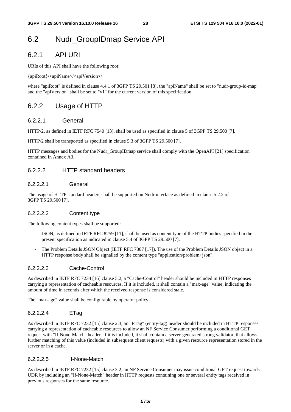## 6.2 Nudr\_GroupIDmap Service API

## 6.2.1 API URI

URIs of this API shall have the following root:

{apiRoot}/<apiName>/<apiVersion>/

where "apiRoot" is defined in clause 4.4.1 of 3GPP TS 29.501 [8], the "apiName" shall be set to "nudr-group-id-map" and the "apiVersion" shall be set to "v1" for the current version of this specification.

## 6.2.2 Usage of HTTP

## 6.2.2.1 General

HTTP/2, as defined in IETF RFC 7540 [13], shall be used as specified in clause 5 of 3GPP TS 29.500 [7].

HTTP/2 shall be transported as specified in clause 5.3 of 3GPP TS 29.500 [7].

HTTP messages and bodies for the Nudr\_GroupIDmap service shall comply with the OpenAPI [21] specification contained in Annex A3.

## 6.2.2.2 HTTP standard headers

## 6.2.2.2.1 General

The usage of HTTP standard headers shall be supported on Nudr interface as defined in clause 5.2.2 of 3GPP TS 29.500 [7].

### 6.2.2.2.2 Content type

The following content types shall be supported:

- JSON, as defined in IETF RFC 8259 [11], shall be used as content type of the HTTP bodies specified in the present specification as indicated in clause 5.4 of 3GPP TS 29.500 [7].
- The Problem Details JSON Object (IETF RFC 7807 [17]). The use of the Problem Details JSON object in a HTTP response body shall be signalled by the content type "application/problem+json".

## 6.2.2.2.3 Cache-Control

As described in IETF RFC 7234 [16] clause 5.2, a "Cache-Control" header should be included in HTTP responses carrying a representation of cacheable resources. If it is included, it shall contain a "max-age" value, indicating the amount of time in seconds after which the received response is considered stale.

The "max-age" value shall be configurable by operator policy.

## 6.2.2.2.4 ETag

As described in IETF RFC 7232 [15] clause 2.3, an "ETag" (entity-tag) header should be included in HTTP responses carrying a representation of cacheable resources to allow an NF Service Consumer performing a conditional GET request with "If-None-Match" header. If it is included, it shall contain a server-generated strong validator, that allows further matching of this value (included in subsequent client requests) with a given resource representation stored in the server or in a cache.

### 6.2.2.2.5 If-None-Match

As described in IETF RFC 7232 [15] clause 3.2, an NF Service Consumer may issue conditional GET request towards UDR by including an "If-None-Match" header in HTTP requests containing one or several entity tags received in previous responses for the same resource.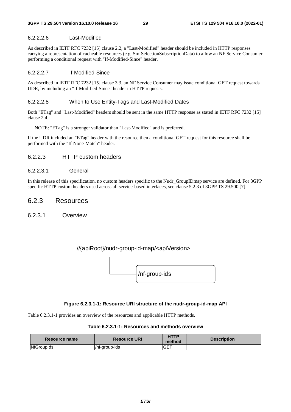## 6.2.2.2.6 Last-Modified

As described in IETF RFC 7232 [15] clause 2.2, a "Last-Modified" header should be included in HTTP responses carrying a representation of cacheable resources (e.g. SmfSelectionSubscriptionData) to allow an NF Service Consumer performing a conditional request with "If-Modified-Since" header.

## 6.2.2.2.7 If-Modified-Since

As described in IETF RFC 7232 [15] clause 3.3, an NF Service Consumer may issue conditional GET request towards UDR, by including an "If-Modified-Since" header in HTTP requests.

## 6.2.2.2.8 When to Use Entity-Tags and Last-Modified Dates

Both "ETag" and "Last-Modified" headers should be sent in the same HTTP response as stated in IETF RFC 7232 [15] clause 2.4.

NOTE: "ETag" is a stronger validator than "Last-Modified" and is preferred.

If the UDR included an "ETag" header with the resource then a conditional GET request for this resource shall be performed with the "If-None-Match" header.

## 6.2.2.3 HTTP custom headers

## 6.2.2.3.1 General

In this release of this specification, no custom headers specific to the Nudr\_GroupIDmap service are defined. For 3GPP specific HTTP custom headers used across all service-based interfaces, see clause 5.2.3 of 3GPP TS 29.500 [7].

## 6.2.3 Resources

6.2.3.1 Overview

## //{apiRoot}/nudr-group-id-map/<apiVersion>



## **Figure 6.2.3.1-1: Resource URI structure of the nudr-group-id-map API**

Table 6.2.3.1-1 provides an overview of the resources and applicable HTTP methods.

**Table 6.2.3.1-1: Resources and methods overview** 

| Resource name     | <b>Resource URI</b> | <b>HTTP</b><br>method | <b>Description</b> |
|-------------------|---------------------|-----------------------|--------------------|
| <b>NfGroupIds</b> | l/nf-aroup-ids      | GET                   |                    |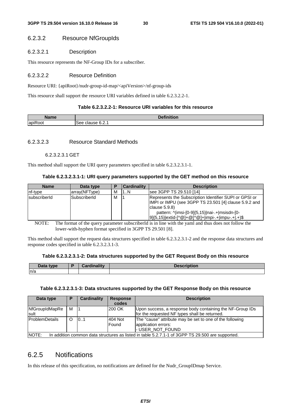## 6.2.3.2 Resource NfGroupIds

## 6.2.3.2.1 Description

This resource represents the NF-Group IDs for a subscriber.

#### 6.2.3.2.2 Resource Definition

Resource URI: {apiRoot}/nudr-group-id-map/<apiVersion>/nf-group-ids

This resource shall support the resource URI variables defined in table 6.2.3.2.2-1.

#### **Table 6.2.3.2.2-1: Resource URI variables for this resource**

| Name                                      | <b>DAMABLE</b><br>nition           |
|-------------------------------------------|------------------------------------|
| $\overline{\phantom{a}}$<br>lapik<br>.OOT | . 0.0<br>clause<br>see<br>– ∪.∠. . |

## 6.2.3.2.3 Resource Standard Methods

#### 6.2.3.2.3.1 GET

This method shall support the URI query parameters specified in table 6.2.3.2.3.1-1.

| Table 6.2.3.2.3.1-1: URI query parameters supported by the GET method on this resource |  |  |  |  |  |  |
|----------------------------------------------------------------------------------------|--|--|--|--|--|--|
|----------------------------------------------------------------------------------------|--|--|--|--|--|--|

| <b>Name</b>  | Data type     |   | <b>Cardinality</b> | <b>Description</b>                                                                                                                                                                                                                                   |
|--------------|---------------|---|--------------------|------------------------------------------------------------------------------------------------------------------------------------------------------------------------------------------------------------------------------------------------------|
| nf-type      | array(NFType) | м | 1N                 | see 3GPP TS 29.510 [14]                                                                                                                                                                                                                              |
| subscriberId | SubscriberId  | м |                    | Represents the Subscription Identifier SUPI or GPSI or<br>IMPI or IMPU (see 3GPP TS 23.501 [4] clause 5.9.2 and<br>clause $5.9.8$<br>pattern: $\frac{N}{m}$ (imsi-[0-9]{5,15} nai-.+ msisdn-[0-<br> 9]{5,15} extid-[^@]+@[^@]+ impi-.+ impu-.+ .+)\$ |

NOTE: The format of the query parameter subscriberId is in line with the yaml and thus does not follow the lower-with-hyphen format specified in 3GPP TS 29.501 [8].

This method shall support the request data structures specified in table 6.2.3.2.3.1-2 and the response data structures and response codes specified in table 6.2.3.2.3.1-3.

## **Table 6.2.3.2.3.1-2: Data structures supported by the GET Request Body on this resource**

| Data type | $\Delta$ lina $\sim$ 104 a $\sim$ | <b>Description</b> |
|-----------|-----------------------------------|--------------------|
| n/a       |                                   |                    |

#### **Table 6.2.3.2.3.1-3: Data structures supported by the GET Response Body on this resource**

| Data type                                                                                                                             | Р        | <b>Cardinality</b> | <b>Response</b><br>codes | <b>Description</b>                                                                                         |
|---------------------------------------------------------------------------------------------------------------------------------------|----------|--------------------|--------------------------|------------------------------------------------------------------------------------------------------------|
| NfGroupIdMapRe<br>Isult                                                                                                               | м        |                    | 200 OK                   | Upon success, a response body containing the NF-Group IDs<br>for the requested NF types shall be returned. |
| <b>IProblemDetails</b>                                                                                                                | $\Omega$ | 0.1                | 404 Not<br><b>Found</b>  | The "cause" attribute may be set to one of the following<br>application errors:                            |
| - USER_NOT_FOUND<br><b>INOTE:</b><br>In addition common data structures as listed in table 5.2.7.1-1 of 3GPP TS 29.500 are supported. |          |                    |                          |                                                                                                            |

## 6.2.5 Notifications

In this release of this specification, no notifications are defined for the Nudr\_GroupIDmap Service.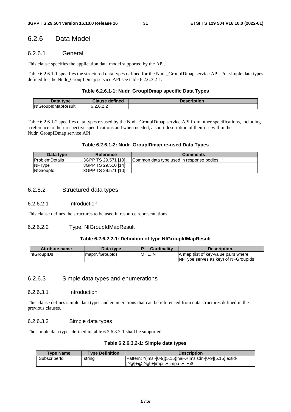## 6.2.6 Data Model

## 6.2.6.1 General

This clause specifies the application data model supported by the API.

Table 6.2.6.1-1 specifies the structured data types defined for the Nudr\_GroupIDmap service API. For simple data types defined for the Nudr GroupIDmap service API see table 6.2.6.3.2-1.

## **Table 6.2.6.1-1: Nudr\_GroupIDmap specific Data Types**

| Data<br>type              | <b>Clause defined</b> | Description |
|---------------------------|-----------------------|-------------|
| <b>NfGroupIdMapResult</b> | ຂາງ<br>16.2.6.2.2     |             |

Table 6.2.6.1-2 specifies data types re-used by the Nudr\_GroupIDmap service API from other specifications, including a reference to their respective specifications and when needed, a short description of their use within the Nudr\_GroupIDmap service API.

| Data type              | Reference                  | <b>Comments</b>                          |
|------------------------|----------------------------|------------------------------------------|
| <b>IProblemDetails</b> | <b>SGPP TS 29.571 [10]</b> | Common data type used in response bodies |
| <b>NFType</b>          | 3GPP TS 29.510 [14]        |                                          |
| <b>NfGroupId</b>       | I3GPP TS 29.571 [10]       |                                          |

## 6.2.6.2 Structured data types

#### 6.2.6.2.1 Introduction

This clause defines the structures to be used in resource representations.

## 6.2.6.2.2 Type: NfGroupIdMapResult

## **Table 6.2.6.2.2-1: Definition of type NfGroupIdMapResult**

| <b>Attribute name</b> | Data type       |   | <b>Cardinality</b> | <b>Description</b>                   |
|-----------------------|-----------------|---|--------------------|--------------------------------------|
| <b>InfGroupIDs</b>    | Imap(NfGroupId) | M | 11N                | A map (list of key-value pairs where |
|                       |                 |   |                    | NFType serves as key) of NFGrouplds  |

## 6.2.6.3 Simple data types and enumerations

### 6.2.6.3.1 Introduction

This clause defines simple data types and enumerations that can be referenced from data structures defined in the previous clauses.

## 6.2.6.3.2 Simple data types

The simple data types defined in table 6.2.6.3.2-1 shall be supported.

## **Table 6.2.6.3.2-1: Simple data types**

| <b>Type Name</b> | <b>Type Definition</b> | <b>Description</b>                                                                                                                                              |
|------------------|------------------------|-----------------------------------------------------------------------------------------------------------------------------------------------------------------|
| SubscriberId     | string                 | Pattern: ^(imsi-[0-9]{5,15} nai-.+ msisdn-[0-9]{5,15} extid-                                                                                                    |
|                  |                        | $\left[ \wedge \textcircled{a} \right] + \textcircled{a} \left[ \wedge \textcircled{a} \right] + \left[ \text{impu-+} \right] + \left[ \textcircled{a} \right]$ |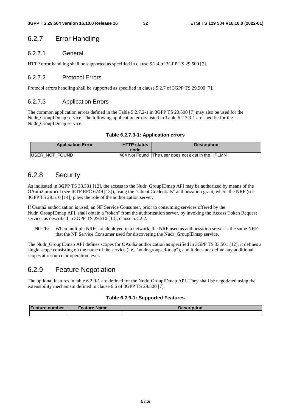## 6.2.7 Error Handling

## 6.2.7.1 General

HTTP error handling shall be supported as specified in clause 5.2.4 of 3GPP TS 29.500 [7].

## 6.2.7.2 Protocol Errors

Protocol errors handling shall be supported as specified in clause 5.2.7 of 3GPP TS 29.500 [7].

## 6.2.7.3 Application Errors

The common application errors defined in the Table 5.2.7.2-1 in 3GPP TS 29.500 [7] may also be used for the Nudr GroupIDmap service. The following application errors listed in Table 6.2.7.3-1 are specific for the Nudr GroupIDmap service.

### **Table 6.2.7.3-1: Application errors**

| <b>Application Error</b> | <b>HTTP status</b><br>code | <b>Description</b>                                 |
|--------------------------|----------------------------|----------------------------------------------------|
| <b>IUSER NOT FOUND</b>   |                            | 404 Not Found The user does not exist in the HPLMN |

## 6.2.8 Security

As indicated in 3GPP TS 33.501 [12], the access to the Nudr\_GroupIDmap API may be authorized by means of the OAuth2 protocol (see IETF RFC 6749 [13]), using the "Client Credentials" authorization grant, where the NRF (see 3GPP TS 29.510 [14]) plays the role of the authorization server.

If Oauth2 authorization is used, an NF Service Consumer, prior to consuming services offered by the Nudr GroupIDmap API, shall obtain a "token" from the authorization server, by invoking the Access Token Request service, as described in 3GPP TS 29.510 [14], clause 5.4.2.2.

NOTE: When multiple NRFs are deployed in a network, the NRF used as authorization server is the same NRF that the NF Service Consumer used for discovering the Nudr\_GroupIDmap service.

The Nudr GroupIDmap API defines scopes for OAuth2 authorization as specified in 3GPP TS 33.501 [12]; it defines a single scope consisting on the name of the service (i.e., "nudr-group-id-map"), and it does not define any additional scopes at resource or operation level.

## 6.2.9 Feature Negotiation

The optional features in table 6.2.9-1 are defined for the Nudr\_GroupIDmap API. They shall be negotiated using the extensibility mechanism defined in clause 6.6 of 3GPP TS 29.500 [7].

### **Table 6.2.9-1: Supported Features**

| <b>Feature number</b> | <b>Feature Name</b> | <b>Description</b> |
|-----------------------|---------------------|--------------------|
|                       |                     |                    |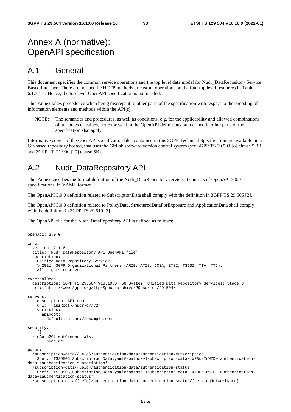## Annex A (normative): OpenAPI specification

## A.1 General

This document specifies the common service operations and the top level data model for Nudr\_DataRepository Service Based Interface. There are no specific HTTP methods or custom operations on the four top level resources in Table 6.1.3.1-1. Hence, the top level OpenAPI specification is not needed.

This Annex takes precedence when being discrepant to other parts of the specification with respect to the encoding of information elements and methods within the API(s).

NOTE: The semantics and procedures, as well as conditions, e.g. for the applicability and allowed combinations of attributes or values, not expressed in the OpenAPI definitions but defined in other parts of the specification also apply.

Informative copies of the OpenAPI specification files contained in this 3GPP Technical Specification are available on a Git-based repository hosted, that uses the GitLab software version control system (see 3GPP TS 29.501 [8] clause 5.3.1 and 3GPP TR 21.900 [20] clause 5B).

## A.2 Nudr\_DataRepository API

This Annex specifies the formal definition of the Nudr\_DataRepository service. It consists of OpenAPI 3.0.0 specifications, in YAML format.

The OpenAPI 3.0.0 definition related to SubscriptionData shall comply with the definition in 3GPP TS 29.505 [2].

The OpenAPI 3.0.0 definition related to PolicyData, StructuredDataForExposure and ApplicationData shall comply with the definition in 3GPP TS 29.519 [3].

The OpenAPI file for the Nudr\_DataRepository API is defined as follows:

```
openapi: 3.0.0 
info: 
   version: 2.1.6 
   title: 'Nudr_DataRepository API OpenAPI file' 
   description: | 
     Unified Data Repository Service. 
     © 2021, 3GPP Organizational Partners (ARIB, ATIS, CCSA, ETSI, TSDSI, TTA, TTC). 
     All rights reserved. 
externalDocs: 
   description: 3GPP TS 29.504 V16.10.0; 5G System; Unified Data Repository Services; Stage 3 
   url: 'http://www.3gpp.org/ftp/Specs/archive/29_series/29.504/' 
servers: 
   - description: API root 
     url: '{apiRoot}/nudr-dr/v2' 
     variables: 
       apiRoot: 
         default: https://example.com 
security: 
   - {} 
   - oAuth2ClientCredentials: 
       - nudr-dr 
paths: 
   /subscription-data/{ueId}/authentication-data/authentication-subscription: 
     $ref: 'TS29505_Subscription_Data.yaml#/paths/~1subscription-data~1%7BueId%7D~1authentication-
data~1authentication-subscription' 
   /subscription-data/{ueId}/authentication-data/authentication-status: 
    $ref: 'TS29505_Subscription_Data.yaml#/paths/~1subscription-data~1%7BueId%7D~1authentication-
data~1authentication-status' 
   /subscription-data/{ueId}/authentication-data/authentication-status/{servingNetworkName}:
```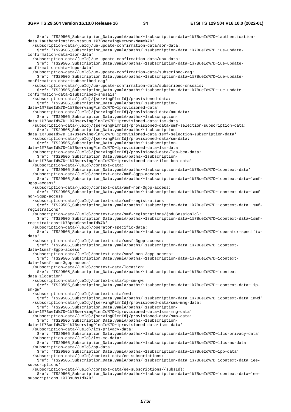\$ref: 'TS29505\_Subscription\_Data.yaml#/paths/~1subscription-data~1%7BueId%7D~1authenticationdata~1authentication-status~1%7BservingNetworkName%7D' /subscription-data/{ueId}/ue-update-confirmation-data/sor-data: \$ref: 'TS29505\_Subscription\_Data.yaml#/paths/~1subscription-data~1%7BueId%7D~1ue-updateconfirmation-data~1sor-data' /subscription-data/{ueId}/ue-update-confirmation-data/upu-data: \$ref: 'TS29505\_Subscription\_Data.yaml#/paths/~1subscription-data~1%7BueId%7D~1ue-updateconfirmation-data~1upu-data' /subscription-data/{ueId}/ue-update-confirmation-data/subscribed-cag: \$ref: 'TS29505\_Subscription\_Data.yaml#/paths/~1subscription-data~1%7BueId%7D~1ue-updateconfirmation-data~1subscribed-cag' /subscription-data/{ueId}/ue-update-confirmation-data/subscribed-snssais: \$ref: 'TS29505\_Subscription\_Data.yaml#/paths/~1subscription-data~1%7BueId%7D~1ue-updateconfirmation-data~1subscribed-snssais' /subscription-data/{ueId}/{servingPlmnId}/provisioned-data: \$ref: 'TS29505\_Subscription\_Data.yaml#/paths/~1subscriptiondata~1%7BueId%7D~1%7BservingPlmnId%7D~1provisioned-data' /subscription-data/{ueId}/{servingPlmnId}/provisioned-data/am-data: \$ref: 'TS29505\_Subscription\_Data.yaml#/paths/~1subscriptiondata~1%7BueId%7D~1%7BservingPlmnId%7D~1provisioned-data~1am-data' /subscription-data/{ueId}/{servingPlmnId}/provisioned-data/smf-selection-subscription-data: \$ref: 'TS29505\_Subscription\_Data.yaml#/paths/~1subscriptiondata~1%7BueId%7D~1%7BservingPlmnId%7D~1provisioned-data~1smf-selection-subscription-data' /subscription-data/{ueId}/{servingPlmnId}/provisioned-data/sm-data: \$ref: 'TS29505\_Subscription\_Data.yaml#/paths/~1subscriptiondata~1%7BueId%7D~1%7BservingPlmnId%7D~1provisioned-data~1sm-data' /subscription-data/{ueId}/{servingPlmnId}/provisioned-data/lcs-bca-data: \$ref: 'TS29505\_Subscription\_Data.yaml#/paths/~1subscriptiondata~1%7BueId%7D~1%7BservingPlmnId%7D~1provisioned-data~1lcs-bca-data' /subscription-data/{ueId}/context-data: \$ref: 'TS29505\_Subscription\_Data.yaml#/paths/~1subscription-data~1%7BueId%7D~1context-data' /subscription-data/{ueId}/context-data/amf-3gpp-access: \$ref: 'TS29505\_Subscription\_Data.yaml#/paths/~1subscription-data~1%7BueId%7D~1context-data~1amf-3gpp-access' /subscription-data/{ueId}/context-data/amf-non-3gpp-access: \$ref: 'TS29505\_Subscription\_Data.yaml#/paths/~1subscription-data~1%7BueId%7D~1context-data~1amfnon-3gpp-access' /subscription-data/{ueId}/context-data/smf-registrations: \$ref: 'TS29505\_Subscription\_Data.yaml#/paths/~1subscription-data~1%7BueId%7D~1context-data~1smfregistrations' /subscription-data/{ueId}/context-data/smf-registrations/{pduSessionId}: \$ref: 'TS29505 Subscription Data.yaml#/paths/~1subscription-data~1%7BueId%7D~1context-data~1smfregistrations~1%7BpduSessionId%7D' /subscription-data/{ueId}/operator-specific-data: \$ref: 'TS29505\_Subscription\_Data.yaml#/paths/~1subscription-data~1%7BueId%7D~1operator-specificdata' /subscription-data/{ueId}/context-data/smsf-3gpp-access: \$ref: 'TS29505\_Subscription\_Data.yaml#/paths/~1subscription-data~1%7BueId%7D~1contextdata~1smsf-3gpp-access' /subscription-data/{ueId}/context-data/smsf-non-3gpp-access: \$ref: 'TS29505\_Subscription\_Data.yaml#/paths/~1subscription-data~1%7BueId%7D~1contextdata~1smsf-non-3gpp-access' /subscription-data/{ueId}/context-data/location: \$ref: 'TS29505\_Subscription\_Data.yaml#/paths/~1subscription-data~1%7BueId%7D~1contextdata~1location' /subscription-data/{ueId}/context-data/ip-sm-gw: \$ref: 'TS29505\_Subscription\_Data.yaml#/paths/~1subscription-data~1%7BueId%7D~1context-data~1ipsm-gw' /subscription-data/{ueId}/context-data/mwd: \$ref: 'TS29505\_Subscription\_Data.yaml#/paths/~1subscription-data~1%7BueId%7D~1context-data~1mwd' /subscription-data/{ueId}/{servingPlmnId}/provisioned-data/sms-mng-data: \$ref: 'TS29505\_Subscription\_Data.yaml#/paths/~1subscriptiondata~1%7BueId%7D~1%7BservingPlmnId%7D~1provisioned-data~1sms-mng-data' /subscription-data/{ueId}/{servingPlmnId}/provisioned-data/sms-data: \$ref: 'TS29505\_Subscription\_Data.yaml#/paths/~1subscriptiondata~1%7BueId%7D~1%7BservingPlmnId%7D~1provisioned-data~1sms-data' /subscription-data/{ueId}/lcs-privacy-data: \$ref: 'TS29505\_Subscription\_Data.yaml#/paths/~1subscription-data~1%7BueId%7D~1lcs-privacy-data' /subscription-data/{ueId}/lcs-mo-data: \$ref: 'TS29505\_Subscription\_Data.yaml#/paths/~1subscription-data~1%7BueId%7D~1lcs-mo-data' /subscription-data/{ueId}/pp-data: \$ref: 'TS29505\_Subscription\_Data.yaml#/paths/~1subscription-data~1%7BueId%7D~1pp-data' /subscription-data/{ueId}/context-data/ee-subscriptions: \$ref: 'TS29505\_Subscription\_Data.yaml#/paths/~1subscription-data~1%7BueId%7D~1context-data~1eesubscriptions' /subscription-data/{ueId}/context-data/ee-subscriptions/{subsId}: \$ref: 'TS29505\_Subscription\_Data.yaml#/paths/~1subscription-data~1%7BueId%7D~1context-data~1ee-

subscriptions~1%7BsubsId%7D'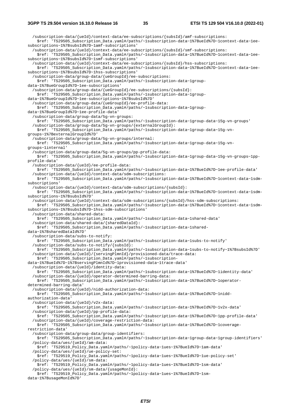/subscription-data/{ueId}/context-data/ee-subscriptions/{subsId}/amf-subscriptions: \$ref: 'TS29505 Subscription Data.yaml#/paths/~1subscription-data~1%7BueId%7D~1context-data~1eesubscriptions~1%7BsubsId%7D~1amf-subscriptions' /subscription-data/{ueId}/context-data/ee-subscriptions/{subsId}/smf-subscriptions: \$ref: 'TS29505\_Subscription\_Data.yaml#/paths/~1subscription-data~1%7BueId%7D~1context-data~1eesubscriptions~1%7BsubsId%7D~1smf-subscriptions' /subscription-data/{ueId}/context-data/ee-subscriptions/{subsId}/hss-subscriptions: \$ref: 'TS29505\_Subscription\_Data.yaml#/paths/~1subscription-data~1%7BueId%7D~1context-data~1eesubscriptions~1%7BsubsId%7D~1hss-subscriptions' /subscription-data/group-data/{ueGroupId}/ee-subscriptions: \$ref: 'TS29505\_Subscription\_Data.yaml#/paths/~1subscription-data~1groupdata~1%7BueGroupId%7D~1ee-subscriptions' /subscription-data/group-data/{ueGroupId}/ee-subscriptions/{subsId}: \$ref: 'TS29505\_Subscription\_Data.yaml#/paths/~1subscription-data~1groupdata~1%7BueGroupId%7D~1ee-subscriptions~1%7BsubsId%7D' /subscription-data/group-data/{ueGroupId}/ee-profile-data: \$ref: 'TS29505\_Subscription\_Data.yaml#/paths/~1subscription-data~1groupdata~1%7BueGroupId%7D~1ee-profile-data' /subscription-data/group-data/5g-vn-groups: \$ref: 'TS29505\_Subscription\_Data.yaml#/paths/~1subscription-data~1group-data~15g-vn-groups' /subscription-data/group-data/5g-vn-groups/{externalGroupId}: \$ref: 'TS29505\_Subscription\_Data.yaml#/paths/~1subscription-data~1group-data~15g-vngroups~1%7BexternalGroupId%7D' /subscription-data/group-data/5g-vn-groups/internal: \$ref: 'TS29505\_Subscription\_Data.yaml#/paths/~1subscription-data~1group-data~15g-vngroups~1internal' /subscription-data/group-data/5g-vn-groups/pp-profile-data: \$ref: 'TS29505\_Subscription\_Data.yaml#/paths/~1subscription-data~1group-data~15g-vn-groups~1ppprofile-data' /subscription-data/{ueId}/ee-profile-data: \$ref: 'TS29505\_Subscription\_Data.yaml#/paths/~1subscription-data~1%7BueId%7D~1ee-profile-data' /subscription-data/{ueId}/context-data/sdm-subscriptions: \$ref: 'TS29505\_Subscription\_Data.yaml#/paths/~1subscription-data~1%7BueId%7D~1context-data~1sdmsubscriptions' /subscription-data/{ueId}/context-data/sdm-subscriptions/{subsId}: \$ref: 'TS29505\_Subscription\_Data.yaml#/paths/~1subscription-data~1%7BueId%7D~1context-data~1sdmsubscriptions~1%7BsubsId%7D' /subscription-data/{ueId}/context-data/sdm-subscriptions/{subsId}/hss-sdm-subscriptions: \$ref: 'TS29505\_Subscription\_Data.yaml#/paths/~1subscription-data~1%7BueId%7D~1context-data~1sdmsubscriptions~1%7BsubsId%7D~1hss-sdm-subscriptions' /subscription-data/shared-data: \$ref: 'TS29505\_Subscription\_Data.yaml#/paths/~1subscription-data~1shared-data' /subscription-data/shared-data/{sharedDataId}: \$ref: 'TS29505\_Subscription\_Data.yaml#/paths/~1subscription-data~1shareddata~1%7BsharedDataId%7D' /subscription-data/subs-to-notify: \$ref: 'TS29505\_Subscription\_Data.yaml#/paths/~1subscription-data~1subs-to-notify' /subscription-data/subs-to-notify/{subsId}: \$ref: 'TS29505\_Subscription\_Data.yaml#/paths/~1subscription-data~1subs-to-notify~1%7BsubsId%7D' /subscription-data/{ueId}/{servingPlmnId}/provisioned-data/trace-data: \$ref: 'TS29505\_Subscription\_Data.yaml#/paths/~1subscriptiondata~1%7BueId%7D~1%7BservingPlmnId%7D~1provisioned-data~1trace-data' /subscription-data/{ueId}/identity-data: \$ref: 'TS29505\_Subscription\_Data.yaml#/paths/~1subscription-data~1%7BueId%7D~1identity-data' /subscription-data/{ueId}/operator-determined-barring-data: \$ref: 'TS29505\_Subscription\_Data.yaml#/paths/~1subscription-data~1%7BueId%7D~1operatordetermined-barring-data' /subscription-data/{ueId}/nidd-authorization-data: \$ref: 'TS29505\_Subscription\_Data.yaml#/paths/~1subscription-data~1%7BueId%7D~1niddauthorization-data' /subscription-data/{ueId}/v2x-data: \$ref: 'TS29505\_Subscription\_Data.yaml#/paths/~1subscription-data~1%7BueId%7D~1v2x-data' /subscription-data/{ueId}/pp-profile-data: \$ref: 'TS29505\_Subscription\_Data.yaml#/paths/~1subscription-data~1%7BueId%7D~1pp-profile-data' /subscription-data/{ueId}/coverage-restriction-data: \$ref: 'TS29505\_Subscription\_Data.yaml#/paths/~1subscription-data~1%7BueId%7D~1coveragerestriction-data' /subscription-data/group-data/group-identifiers: \$ref: 'TS29505\_Subscription\_Data.yaml#/paths/~1subscription-data~1group-data~1group-identifiers' /policy-data/ues/{ueId}/am-data: \$ref: 'TS29519\_Policy\_Data.yaml#/paths/~1policy-data~1ues~1%7BueId%7D~1am-data' /policy-data/ues/{ueId}/ue-policy-set: \$ref: 'TS29519\_Policy\_Data.yaml#/paths/~1policy-data~1ues~1%7BueId%7D~1ue-policy-set' /policy-data/ues/{ueId}/sm-data: \$ref: 'TS29519\_Policy\_Data.yaml#/paths/~1policy-data~1ues~1%7BueId%7D~1sm-data' /policy-data/ues/{ueId}/sm-data/{usageMonId}: \$ref: 'TS29519\_Policy\_Data.yaml#/paths/~1policy-data~1ues~1%7BueId%7D~1smdata~1%7BusageMonId%7D'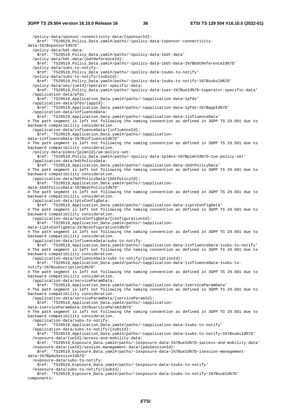/policy-data/sponsor-connectivity-data/{sponsorId}: \$ref: 'TS29519\_Policy\_Data.yaml#/paths/~1policy-data~1sponsor-connectivitydata~1%7BsponsorId%7D' /policy-data/bdt-data: \$ref: 'TS29519\_Policy\_Data.yaml#/paths/~1policy-data~1bdt-data' /policy-data/bdt-data/{bdtReferenceId}: \$ref: 'TS29519\_Policy\_Data.yaml#/paths/~1policy-data~1bdt-data~1%7BbdtReferenceId%7D' /policy-data/subs-to-notify: \$ref: 'TS29519\_Policy\_Data.yaml#/paths/~1policy-data~1subs-to-notify' /policy-data/subs-to-notify/{subsId}: \$ref: 'TS29519\_Policy\_Data.yaml#/paths/~1policy-data~1subs-to-notify~1%7BsubsId%7D' /policy-data/ues/{ueId}/operator-specific-data: \$ref: 'TS29519\_Policy\_Data.yaml#/paths/~1policy-data~1ues~1%7BueId%7D~1operator-specific-data' /application-data/pfds: \$ref: 'TS29519\_Application\_Data.yaml#/paths/~1application-data~1pfds' /application-data/pfds/{appId}: \$ref: 'TS29519\_Application\_Data.yaml#/paths/~1application-data~1pfds~1%7BappId%7D' /application-data/influenceData: \$ref: 'TS29519\_Application\_Data.yaml#/paths/~1application-data~1influenceData' # The path segment is left not following the naming convention as defined in 3GPP TS 29.501 due to backward compatibility consideration. /application-data/influenceData/{influenceId}: \$ref: 'TS29519\_Application\_Data.yaml#/paths/~1applicationdata~1influenceData~1%7BinfluenceId%7D' # The path segment is left not following the naming convention as defined in 3GPP TS 29.501 due to backward compatibility consideration. /policy-data/plmns/{plmnId}/ue-policy-set: \$ref: 'TS29519\_Policy\_Data.yaml#/paths/~1policy-data~1plmns~1%7BplmnId%7D~1ue-policy-set' /application-data/bdtPolicyData: \$ref: 'TS29519\_Application\_Data.yaml#/paths/~1application-data~1bdtPolicyData' # The path segment is left not following the naming convention as defined in 3GPP TS 29.501 due to backward compatibility consideration. /application-data/bdtPolicyData/{bdtPolicyId}: \$ref: 'TS29519\_Application\_Data.yaml#/paths/~1applicationdata~1bdtPolicyData~1%7BbdtPolicyId%7D' # The path segment is left not following the naming convention as defined in 3GPP TS 29.501 due to backward compatibility consideration. /application-data/iptvConfigData: \$ref: 'TS29519\_Application\_Data.yaml#/paths/~1application-data~1iptvConfigData' # The path segment is left not following the naming convention as defined in 3GPP TS 29.501 due to backward compatibility consideration. /application-data/iptvConfigData/{configurationId}: \$ref: 'TS29519\_Application\_Data.yaml#/paths/~1applicationdata~1iptvConfigData~1%7BconfigurationId%7D' # The path segment is left not following the naming convention as defined in 3GPP TS 29.501 due to backward compatibility consideration. /application-data/influenceData/subs-to-notify: \$ref: 'TS29519\_Application\_Data.yaml#/paths/~1application-data~1influenceData~1subs-to-notify' # The path segment is left not following the naming convention as defined in 3GPP TS 29.501 due to backward compatibility consideration. /application-data/influenceData/subs-to-notify/{subscriptionId}: \$ref: 'TS29519\_Application\_Data.yaml#/paths/~1application-data~1influenceData~1subs-tonotify~1%7BsubscriptionId%7D' # The path segment is left not following the naming convention as defined in 3GPP TS 29.501 due to backward compatibility consideration. /application-data/serviceParamData: \$ref: 'TS29519\_Application\_Data.yaml#/paths/~1application-data~1serviceParamData' # The path segment is left not following the naming convention as defined in 3GPP TS 29.501 due to backward compatibility consideration. /application-data/serviceParamData/{serviceParamId}: \$ref: 'TS29519\_Application\_Data.yaml#/paths/~1applicationdata~1serviceParamData~1%7BserviceParamId%7D' # The path segment is left not following the naming convention as defined in 3GPP TS 29.501 due to backward compatibility consideration. /application-data/subs-to-notify: \$ref: 'TS29519\_Application\_Data.yaml#/paths/~1application-data~1subs-to-notify' /application-data/subs-to-notify/{subsId}: \$ref: 'TS29519\_Application\_Data.yaml#/paths/~1application-data~1subs-to-notify~1%7BsubsId%7D' /exposure-data/{ueId}/access-and-mobility-data: \$ref: 'TS29519\_Exposure\_Data.yaml#/paths/~1exposure-data~1%7BueId%7D~1access-and-mobility-data' /exposure-data/{ueId}/session-management-data/{pduSessionId}: \$ref: 'TS29519\_Exposure\_Data.yaml#/paths/~1exposure-data~1%7BueId%7D~1session-managementdata~1%7BpduSessionId%7D' /exposure-data/subs-to-notify: \$ref: 'TS29519\_Exposure\_Data.yaml#/paths/~1exposure-data~1subs-to-notify' /exposure-data/subs-to-notify/{subId}:

 \$ref: 'TS29519\_Exposure\_Data.yaml#/paths/~1exposure-data~1subs-to-notify~1%7BsubId%7D' components: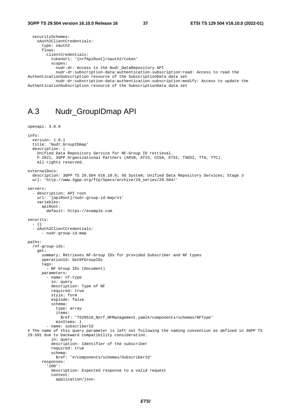```
 securitySchemes: 
     oAuth2ClientCredentials: 
       type: oauth2 
       flows: 
         clientCredentials: 
           tokenUrl: '{nrfApiRoot}/oauth2/token' 
           scopes: 
             nudr-dr: Access to the Nudr_DataRepository API 
             nudr-dr:subscription-data:authentication-subscription:read: Access to read the 
AuthenticationSubscription resource of the SubscriptionData data set 
             nudr-dr:subscription-data:authentication-subscription:modify: Access to update the 
AuthenticationSubscription resource of the SubscriptionData data set
```
## A.3 Nudr\_GroupIDmap API

```
openapi: 3.0.0 
info: 
   version: 1.0.1 
   title: 'Nudr_GroupIDmap' 
  description: |
     Unified Data Repository Service for NF-Group ID retrieval. 
     © 2021, 3GPP Organizational Partners (ARIB, ATIS, CCSA, ETSI, TSDSI, TTA, TTC). 
     All rights reserved. 
externalDocs: 
   description: 3GPP TS 29.504 V16.10.0; 5G System; Unified Data Repository Services; Stage 3 
   url: 'http://www.3gpp.org/ftp/Specs/archive/29_series/29.504/' 
servers: 
   - description: API root 
     url: '{apiRoot}/nudr-group-id-map/v1' 
     variables: 
       apiRoot: 
         default: https://example.com 
security: 
   - {} 
   - oAuth2ClientCredentials: 
       - nudr-group-id-map 
paths: 
   /nf-group-ids: 
     get: 
       summary: Retrieves NF-Group IDs for provided Subscriber and NF types 
       operationId: GetNfGroupIDs 
       tags: 
          - NF Group IDs (Document) 
       parameters: 
          - name: nf-type 
           in: query 
           description: Type of NF 
           required: true 
           style: form 
           explode: false 
           schema: 
              type: array 
              items: 
                $ref: 'TS29510_Nnrf_NFManagement.yaml#/components/schemas/NFType' 
              minItems: 1 
         - name: subscriberId 
# The name of this query parameter is left not following the naming convention as defined in 3GPP TS 
29.501 due to backward compatibility consideration. 
           in: query 
           description: Identifier of the subscriber 
           required: true 
           schema: 
             $ref: '#/components/schemas/SubscriberId' 
       responses: 
          '200': 
           description: Expected response to a valid request 
           content: 
              application/json:
```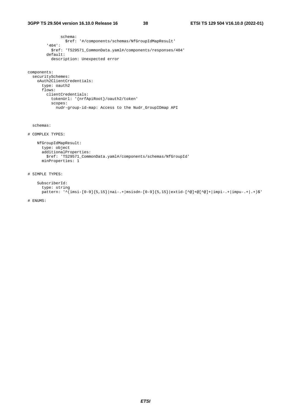schema: \$ref: '#/components/schemas/NfGroupIdMapResult' '404': \$ref: 'TS29571\_CommonData.yaml#/components/responses/404' default: description: Unexpected error

#### components:

```
 securitySchemes: 
  oAuth2ClientCredentials: 
     type: oauth2 
     flows: 
       clientCredentials: 
         tokenUrl: '{nrfApiRoot}/oauth2/token' 
         scopes: 
           nudr-group-id-map: Access to the Nudr_GroupIDmap API
```
schemas:

```
# COMPLEX TYPES:
```

```
 NfGroupIdMapResult: 
 type: object 
      additionalProperties: 
        $ref: 'TS29571_CommonData.yaml#/components/schemas/NfGroupId' 
      minProperties: 1
```
# SIMPLE TYPES:

```
 SubscriberId: 
   type: string 
  pattern: '^(imsi-[0-9]{5,15}|nai-.+|msisdn-[0-9]{5,15}|extid-[^@]+@[^@]+|impi-.+|impu-.+|.+)$'
```
# ENUMS: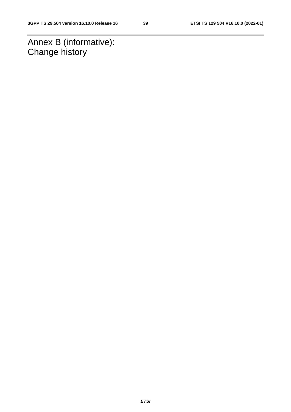Annex B (informative): Change history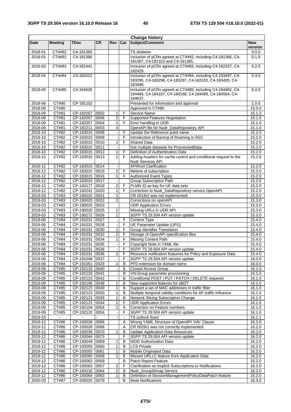$\mathbf{r}$ 

L,

|             |                    |                |           |                         |                | <b>Change history</b>                                           |            |
|-------------|--------------------|----------------|-----------|-------------------------|----------------|-----------------------------------------------------------------|------------|
| Date        | <b>Meeting</b>     | <b>TDoc</b>    | <b>CR</b> | Rev                     | Cat            | Subject/Comment                                                 | <b>New</b> |
|             |                    |                |           |                         |                |                                                                 | version    |
| 2018-01     | CT4#82             | C4-181365      |           |                         |                | TS skeleton                                                     | 0.0.0      |
| 2018-01     | CT4#82             | C4-181396      |           |                         |                | Inclusion of pCRs agreed at CT4#82, including C4-181366, C4-    | 0.1.0      |
|             |                    |                |           |                         |                | 181367, C4-181323 and C4-181385.                                |            |
| 2018-03     | CT4#83             | C4-182441      |           |                         |                | Inclusion of pCRs agreed at CT4#83, including C4-182337, C4-    | 0.2.0      |
|             |                    |                |           |                         |                | 182429.                                                         |            |
| 2018-04     | CT4#84             | C4-183522      |           |                         |                | Inclusion of pCRs agreed at CT4#84, including C4-183497, C4-    | 0.3.0      |
|             |                    |                |           |                         |                | 183295, C4-183296, C4-183297, C4-183102, C4-183420, C4-         |            |
|             |                    |                |           |                         |                | 183498.                                                         |            |
| 2018-05     | CT4#85             | C4-184636      |           |                         |                | Inclusion of pCRs agreed at CT4#85, including C4-184482, C4-    | 0.4.0      |
|             |                    |                |           |                         |                | 184484, C4-184167, C4-184168, C4-184489, C4-184564, C4-         |            |
|             |                    |                |           |                         |                | 184637.                                                         |            |
| 2018-06     | CT#80              | CP-181102      |           |                         |                | Presented for information and approval                          | 1.0.0      |
| 2018-06     | CT#80              |                |           |                         |                | Approved in CT#80.                                              | 15.0.0     |
| 2018-09     | CT#81              | CP-182057      | 0002      | 1                       | F              | Service Name                                                    | 15.1.0     |
| 2018-09     | CT#81              | CP-182057      | 0006      | $\overline{\mathbf{c}}$ | F              | Supported Features Negotiation                                  | 15.1.0     |
| 2018-09     | CT#81              | CP-182057 0004 |           | $\overline{2}$          | F              | Error handling in UDR                                           | 15.1.0     |
| 2018-09     | CT#81              | CP-182211      | 0003      | 4                       |                | OpenAPI file for Nudr_DataRepository API                        | 15.1.0     |
| 2018-10     | CT#82              | CP-183015 0008 |           |                         | F              | Update the Reference point name                                 | 15.2.0     |
| 2018-10     | CT#82              | CP-183015 0009 |           |                         | F              | Introduction of Barring of Roaming in 5GC                       | 15.2.0     |
| 2018-10     | CT#82              | CP-183015 0010 |           | $\mathbf{1}$            | F              | <b>Shared Data</b>                                              | 15.2.0     |
| 2018-10     | CT#82              | CP-183015 0011 |           |                         |                | Get multiple datasets for ProvsionedData                        | 15.2.0     |
| $2018 - 10$ | CT#82              | CP-183015 0012 |           | $\mathbf{1}$            | F              | Definition of Authentication Data                               | 15.2.0     |
| 2018-12     | CT#82              | CP-183015 0013 |           | 1                       | F              | Adding headers for cache control and conditional request to the | 15.2.0     |
|             |                    |                |           |                         |                |                                                                 |            |
|             |                    | CP-183015 0014 |           |                         |                | <b>Nudr Services API</b><br><b>APIRoot Clarification</b>        |            |
| 2018-12     | $\overline{CT#82}$ |                |           |                         |                |                                                                 | 15.2.0     |
| 2018-12     | CT#82              | CP-183015 0015 |           | 2                       | F              | lifetime of subscription                                        | 15.2.0     |
| 2018-12     | CT#82              | CP-183015 0016 |           | $\mathbf{1}$            | F              | <b>Authorized Event Types</b>                                   | 15.2.0     |
| 2018-12     | CT#82              | CP-183015 0017 |           |                         |                | Group Subscription Path                                         | 15.2.0     |
| 2018-12     | CT#82              | CP-183177 0018 |           | 2                       | F              | PLMN ID as key for UE data sets                                 | 15.2.0     |
| 2018-12     | CT#82              | CP-183241 0020 |           | 1                       | F              | Correction to Nudr_DataRepository service OpenAPI               | 15.2.0     |
| 2019-03     | CT#83              | CP-190020 0021 |           | $\mathbf{1}$            |                | CR 0018r2 was not implemented                                   | 15.3.0     |
| 2019-03     | CT#83              | CP-190020 0022 |           | $\overline{2}$          |                | Corrections on openAPI                                          | 15.3.0     |
| 2019-03     | CT#83              | CP-190020 0023 |           |                         |                | <b>UDR Application Errors</b>                                   | 15.3.0     |
| 2019-03     | CT#83              | CP-190020 0025 |           | 1                       |                | Missing URLs in UDR API                                         | 15.3.0     |
| 2019-03     | CT#83              | CP-190172 0026 |           | $\mathbf{1}$            |                | 3GPP TS 29.504 API version update                               | 15.3.0     |
| 2019-06     | CT#84              | CP-191031 0027 |           |                         | F              | Content Type                                                    | 15.4.0     |
| 2019-06     | CT#84              | CP-191031      | 0028      |                         | F              | <b>UE Parameter Update (UPU)</b>                                | 15.4.0     |
| 2019-06     | CT#84              | CP-191031      | 0030      | 1                       | $\overline{F}$ | Group Identifier Translation                                    | 15.4.0     |
| 2019-06     | CT#84              | CP-191031 0032 |           | $\overline{2}$          | F              | Storage of OpenAPI specification files                          | 15.4.0     |
| 2019-06     | CT#84              | CP-191031      | 0034      | 1                       | F              | <b>Missing Context Path</b>                                     | 15.4.0     |
| 2019-06     | CT#84              | CP-191031      | 0035      |                         | F              | Copyright Note in YAML file                                     | 15.4.0     |
| 2019-06     | CT#84              | CP-191031 0038 |           |                         | F              | 3GPP TS 29.504 API version update                               | 15.4.0     |
|             |                    |                |           | 1                       | F              |                                                                 |            |
| 2019-06     | CT#84              | CP-191031 0036 |           |                         |                | Resource notification featurres for Policy and Exposure Data    | 15.4.0     |
| 2019-06     | CT#84              | CP-191048 0037 |           |                         | F              | 3GPP TS 29.504 API version update                               | 16.0.0     |
| 2019-06     | CT#84              | CP-191051 0029 |           | 1                       | В              | PFD extension for domain name                                   | 16.0.0     |
| 2019-09     | CT#85              | CP-192133 0040 |           |                         | В              | <b>Closed Access Group</b>                                      | 16.1.0     |
| 2019-09     | CT#85              | CP-192133 0041 |           |                         | B              | VN-Group parameter provisioning                                 | 16.1.0     |
| $2019-09$   | CT#85              | CP-192123 0042 |           |                         | B              | Conditional POST / PUT / PATCH / DELETE requests                | 16.1.0     |
| 2019-09     | CT#85              | CP-192190 0048 |           | 1                       | В              | New supported features for xBDT                                 | 16.1.0     |
| 2019-09     | CT#85              | CP-192123 0049 |           | 1                       | B              | Support a set of MAC addresses in traffic filter                | 16.1.0     |
| 2019-09     | CT#85              | CP-192123 0050 |           | 1                       | В              | Multiple temporal validity conditions for AF traffic influence  | 16.1.0     |
| 2019-09     | CT#85              | CP-192123 0039 |           | 1                       | В              | Network Slicing Subscription Change                             | 16.1.0     |
| 2019-09     | CT#85              | CP-192123 0044 |           | 1                       | F              | <b>UDR Application Errors</b>                                   | 16.1.0     |
| 2019-09     | CT#85              | CP-192104 0054 |           | 1                       | A              | Correction on Feature numbers                                   | 16.1.0     |
| 2019-09     | CT#85              | CP-192120 0056 |           |                         | F              | 3GPP TS 29.504 API version update                               | 16.1.0     |
| 2019-10     |                    |                |           |                         | $\blacksquare$ | TS outlook fixed                                                | 16.1.1     |
| 2019-12     | CT#86              | CP-193028 0066 |           |                         | Α              | Wrong YAML Structure of OpenAPI 'info' Clause                   | 16.2.0     |
| 2019-12     | <b>CT#86</b>       | CP-193028 0068 |           |                         | Α              | CR 0026r1 was not correctly implemented                         | 16.2.0     |
| 2019-12     | CT#86              | CP-193039 0070 |           | 1                       | В              | <b>Update Application Data Resources</b>                        | 16.2.0     |
| 2019-12     | CT#86              | CP-193044 0073 |           |                         | F              | 3GPP TS 29.504 API version update                               | 16.2.0     |
| 2019-12     | CT#86              | CP-193049 0069 |           | 1                       | B              | NIDD Authorization Data                                         | 16.2.0     |
| 2019-12     | CT#86              | CP-193055 0060 |           | 1                       | B              | <b>LCS Private</b>                                              | 16.2.0     |
| 2019-12     | CT#86              | CP-193055 0061 |           | 1                       | в              | Mobile Originated Data                                          | 16.2.0     |
| 2019-12     | <b>CT#86</b>       |                |           | 1                       | в              | Missed URLLC feature from Application Data                      | 16.2.0     |
|             |                    | CP-193060 0058 |           |                         |                |                                                                 |            |
| 2019-12     | CT#86              | CP-193063 0059 |           |                         | B              | Patch Report Feature                                            | 16.2.0     |
| 2019-12     | CT#86              | CP-193063 0057 |           | $\overline{2}$          | F              | Clarification on Implicit Subscriptions to Notifications        | 16.2.0     |
| 2019-12     | CT#86              | CP-193130 0064 |           | 2                       | В              | Nudr_GroupIDmap Service                                         | 16.2.0     |
| 2019-12     | CT#86              | CP-193064 0063 |           | 1                       | В              | Definition of SessionManagementPolicyDataPatch feature          | 16.2.0     |
| 2020-03     | CT#87              | CP-200020 0079 |           |                         | B              | <b>Mute Notifications</b>                                       | 16.3.0     |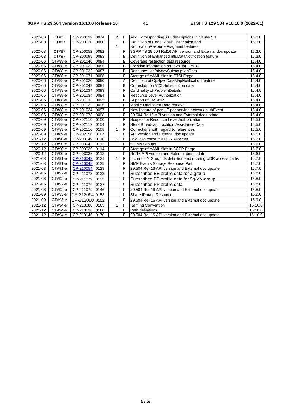## **3GPP TS 29.504 version 16.10.0 Release 16 41 ETSI TS 129 504 V16.10.0 (2022-01)**

| 2020-03     | CT#87               | CP-200039 0074 |               | $\overline{2}$ | $\mathsf{F}$            | Add Corresponding API descriptions in clause 5.1             | 16.3.0  |
|-------------|---------------------|----------------|---------------|----------------|-------------------------|--------------------------------------------------------------|---------|
| 2020-03     | CT#87               | CP-200020 0080 |               |                | B <sub>1</sub>          | Definition of ConditionalSubscription and                    | 16.3.0  |
|             |                     |                |               | 1              |                         | NotificationResourceFragment features                        |         |
| 2020-03     | $\overline{C}$ T#87 | CP-200052      | 0082          |                | F                       | 3GPP TS 29.504 Rel16 API version and External doc update     | 16.3.0  |
| 2020-03     | CT#87               | CP-200098 0083 |               |                | B                       | Definition of EnhancedInfluDataNotification feature          | 16.3.0  |
| 2020-06     | СТ#88-е             | CP-201046 0084 |               |                | B                       | Coverage restriction data resource                           | 16.4.0  |
| 2020-06     | CT#88-e             | CP-201032 0086 |               |                | B                       | Location information retrieval for GMLC                      | 16.4.0  |
| 2020-06     | CT#88-e             | CP-201032 0087 |               |                | $\overline{B}$          | Resource LcsPrivacySubscriptionData                          | 16.4.0  |
| 2020-06     | CT#88-e             | CP-201071      | 0088          |                | F                       | Storage of YAML files in ETSI Forge                          | 16.4.0  |
| 2020-06     | CT#88-e             | CP-201020 0090 |               |                | A                       | Definition of OpSpecDataMapNotification feature              | 16.4.0  |
| 2020-06     | CT#88-e             | CP-201049      | 0091          |                | B                       | Correction on V2X Subscription data                          | 16.4.0  |
| 2020-06     | CT#88-e             | CP-201034 0093 |               |                | F                       | Cardinality of ProblemDetails                                | 16.4.0  |
| 2020-06     | CT#88-e             | CP-201034 0094 |               |                | B                       | Resource Level Authorization                                 | 16.4.0  |
| 2020-06     | CT#88-e             | CP-201033 0095 |               |                | B                       | Support of SMSoIP                                            | 16.4.0  |
| 2020-06     | CT#88-e             | CP-201032 0096 |               |                | F                       | Mobile Originated Data retrieval                             | 16.4.0  |
| 2020-06     | CT#88-e             | CP-201034 0097 |               |                | F                       | New feature of per UE per serving network authEvent          | 16.4.0  |
| 2020-06     | CT#88-e             | CP-201073 0098 |               |                | F                       | 29.504 Rel16 API version and External doc update             | 16.4.0  |
| 2020-09     | CT#89-e             | CP-202110 0100 |               |                | F                       | Scopes for Resource Level Authorization                      | 16.5.0  |
| 2020-09     | CT#89-e             | CP-202112 0104 |               |                | F                       | Store Broadcast Location Assistance Data                     | 16.5.0  |
| 2020-09     | CT#89-e             | CP-202110 0105 |               | $\mathbf{1}$   | $\overline{\mathsf{F}}$ | Corrections with regard to references                        | 16.5.0  |
| 2020-09     | CT#89-e             | CP-202096 0107 |               |                | F                       | API version and External doc update                          | 16.5.0  |
| 2020-12     | СТ#90-е             | CP-203049 0110 |               | $\mathbf{1}$   | F                       | HSS can consume UDR services                                 | 16.6.0  |
| 2020-12     | СТ#90-е             | CP-203042 0112 |               |                | $\overline{F}$          | 5G VN Groups                                                 | 16.6.0  |
| 2020-12     | СТ#90-е             | CP-203035 0114 |               |                | F                       | Storage of YAML files in 3GPP Forge                          | 16.6.0  |
| 2020-12     | СТ#90-е             | CP-203036 0118 |               |                | F                       | Rel16 API version and External doc update                    | 16.6.0  |
| 2021-03     | CT#91-e             | CP-210043      | $\sqrt{0121}$ | $\mathbf{1}$   | F                       | Incorrect NfGroupIds definition and missing UDR access paths | 16.7.0  |
| 2021-03     | CT#91-e             | CP-210048 0125 |               |                | F                       | SMF Events Storage Resource Path                             | 16.7.0  |
| 2021-03     | CT#91-e             | CP-210054 0128 |               |                | F                       | 29.504 Rel-16 API version and External doc update            | 16.7.0  |
| 2021-06     | СТ#92-е             | CP-211073 0133 |               |                | F                       | Subscribed EE profile data for a group                       | 16.8.0  |
| 2021-06     | СТ#92-е             | CP-211079 0135 |               |                | F                       | Subscribed PP profile data for 5g-VN-group                   | 16.8.0  |
| 2021-06     | СТ#92-е             | CP-211079 0137 |               |                | F                       | Subscribed PP profile data                                   | 16.8.0  |
| $2021 - 06$ | СТ#92-е             | CP-211079 0146 |               |                | F                       | 29.504 Rel-16 API version and External doc update            | 16.8.0  |
| 2021-09     | CT#93-e             | CP-212064 0153 |               |                | F                       | <b>SharedDataId Resource</b>                                 | 16.9.0  |
| $2021 - 09$ | CT#93-e             | CP-212080 0152 |               |                | F                       | 29.504 Rel-16 API version and External doc update            | 16.9.0  |
| 2021-12     | СТ#94-е             | CP-213088 0165 |               | 1              | F                       | Naming Convention                                            | 16.10.0 |
| 2021-12     | СТ#94-е             | CP-213136 0160 |               |                | F                       | Path definitions                                             | 16.10.0 |
| 2021-12     | СТ#94-е             | CP-213146 0170 |               |                | F                       | 29.504 Rel-16 API version and External doc update            | 16.10.0 |